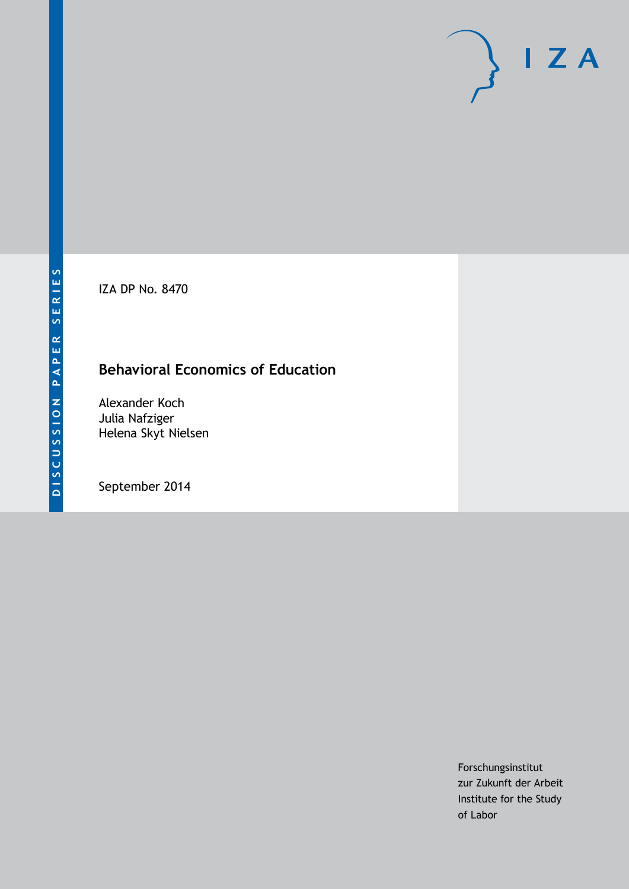IZA DP No. 8470

# **Behavioral Economics of Education**

Alexander Koch Julia Nafziger Helena Skyt Nielsen

September 2014

Forschungsinstitut zur Zukunft der Arbeit Institute for the Study of Labor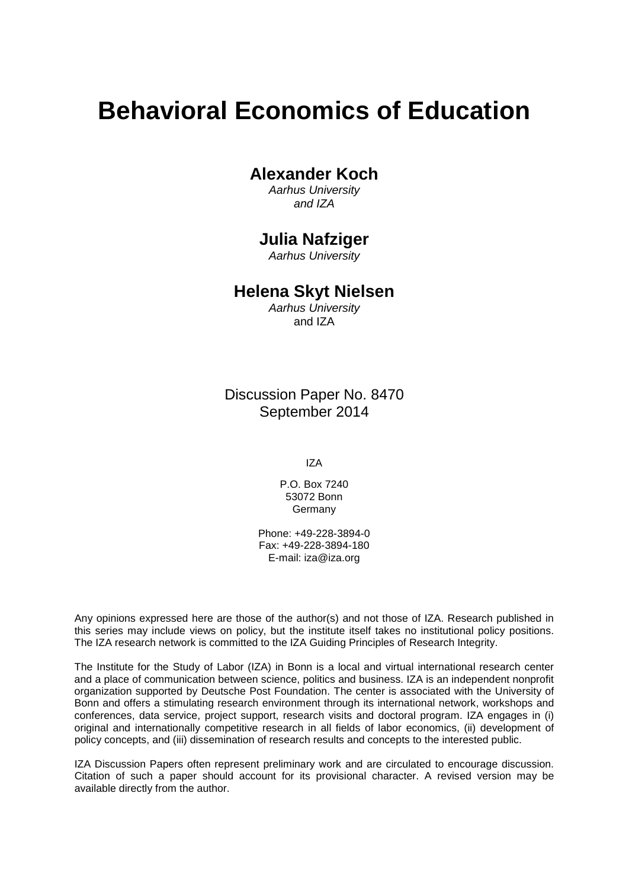# **Behavioral Economics of Education**

### **Alexander Koch**

*Aarhus University and IZA*

### **Julia Nafziger**

*Aarhus University*

### **Helena Skyt Nielsen**

*Aarhus University* and IZA

Discussion Paper No. 8470 September 2014

IZA

P.O. Box 7240 53072 Bonn Germany

Phone: +49-228-3894-0 Fax: +49-228-3894-180 E-mail: [iza@iza.org](mailto:iza@iza.org)

Any opinions expressed here are those of the author(s) and not those of IZA. Research published in this series may include views on policy, but the institute itself takes no institutional policy positions. The IZA research network is committed to the IZA Guiding Principles of Research Integrity.

The Institute for the Study of Labor (IZA) in Bonn is a local and virtual international research center and a place of communication between science, politics and business. IZA is an independent nonprofit organization supported by Deutsche Post Foundation. The center is associated with the University of Bonn and offers a stimulating research environment through its international network, workshops and conferences, data service, project support, research visits and doctoral program. IZA engages in (i) original and internationally competitive research in all fields of labor economics, (ii) development of policy concepts, and (iii) dissemination of research results and concepts to the interested public.

<span id="page-1-0"></span>IZA Discussion Papers often represent preliminary work and are circulated to encourage discussion. Citation of such a paper should account for its provisional character. A revised version may be available directly from the author.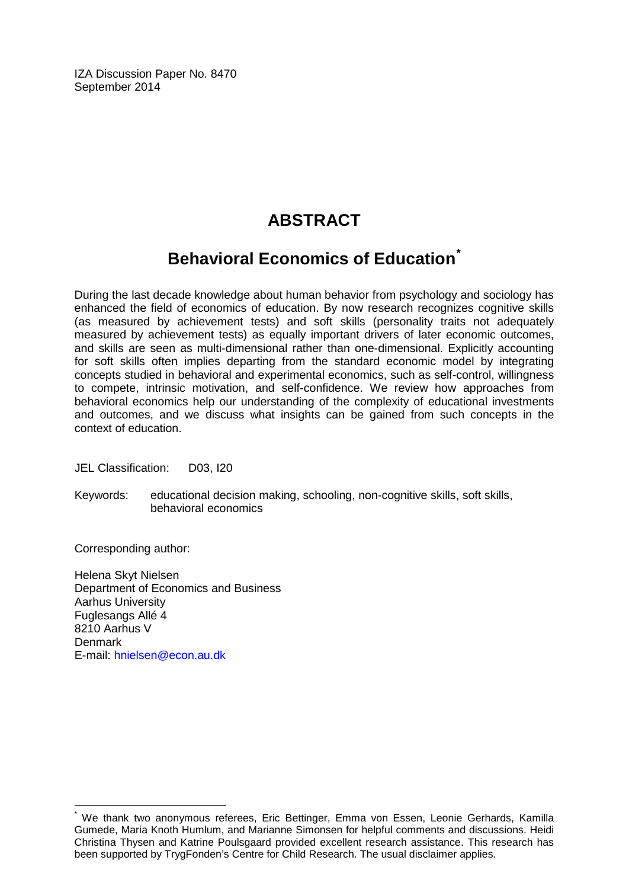IZA Discussion Paper No. 8470 September 2014

# **ABSTRACT**

# **Behavioral Economics of Education[\\*](#page-1-0)**

During the last decade knowledge about human behavior from psychology and sociology has enhanced the field of economics of education. By now research recognizes cognitive skills (as measured by achievement tests) and soft skills (personality traits not adequately measured by achievement tests) as equally important drivers of later economic outcomes, and skills are seen as multi-dimensional rather than one-dimensional. Explicitly accounting for soft skills often implies departing from the standard economic model by integrating concepts studied in behavioral and experimental economics, such as self-control, willingness to compete, intrinsic motivation, and self-confidence. We review how approaches from behavioral economics help our understanding of the complexity of educational investments and outcomes, and we discuss what insights can be gained from such concepts in the context of education.

JEL Classification: D03, I20

Keywords: educational decision making, schooling, non-cognitive skills, soft skills, behavioral economics

Corresponding author:

Helena Skyt Nielsen Department of Economics and Business Aarhus University Fuglesangs Allé 4 8210 Aarhus V Denmark E-mail: [hnielsen@econ.au.dk](mailto:hnielsen@econ.au.dk)

We thank two anonymous referees, Eric Bettinger, Emma von Essen, Leonie Gerhards, Kamilla Gumede, Maria Knoth Humlum, and Marianne Simonsen for helpful comments and discussions. Heidi Christina Thysen and Katrine Poulsgaard provided excellent research assistance. This research has been supported by TrygFonden's Centre for Child Research. The usual disclaimer applies.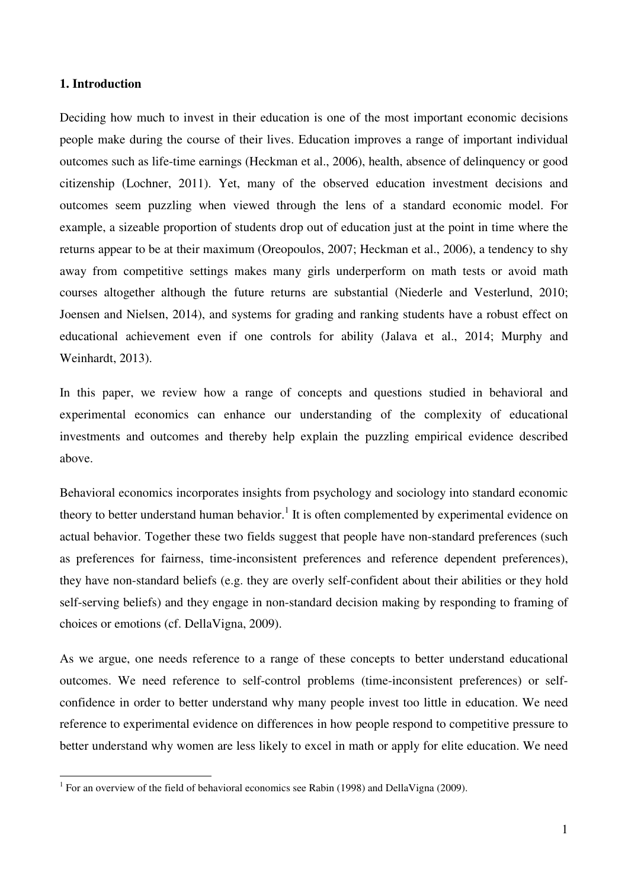#### **1. Introduction**

 $\overline{a}$ 

Deciding how much to invest in their education is one of the most important economic decisions people make during the course of their lives. Education improves a range of important individual outcomes such as life-time earnings (Heckman et al., 2006), health, absence of delinquency or good citizenship (Lochner, 2011). Yet, many of the observed education investment decisions and outcomes seem puzzling when viewed through the lens of a standard economic model. For example, a sizeable proportion of students drop out of education just at the point in time where the returns appear to be at their maximum (Oreopoulos, 2007; Heckman et al., 2006), a tendency to shy away from competitive settings makes many girls underperform on math tests or avoid math courses altogether although the future returns are substantial (Niederle and Vesterlund, 2010; Joensen and Nielsen, 2014), and systems for grading and ranking students have a robust effect on educational achievement even if one controls for ability (Jalava et al., 2014; Murphy and Weinhardt, 2013).

In this paper, we review how a range of concepts and questions studied in behavioral and experimental economics can enhance our understanding of the complexity of educational investments and outcomes and thereby help explain the puzzling empirical evidence described above.

Behavioral economics incorporates insights from psychology and sociology into standard economic theory to better understand human behavior.<sup>1</sup> It is often complemented by experimental evidence on actual behavior. Together these two fields suggest that people have non-standard preferences (such as preferences for fairness, time-inconsistent preferences and reference dependent preferences), they have non-standard beliefs (e.g. they are overly self-confident about their abilities or they hold self-serving beliefs) and they engage in non-standard decision making by responding to framing of choices or emotions (cf. DellaVigna, 2009).

As we argue, one needs reference to a range of these concepts to better understand educational outcomes. We need reference to self-control problems (time-inconsistent preferences) or selfconfidence in order to better understand why many people invest too little in education. We need reference to experimental evidence on differences in how people respond to competitive pressure to better understand why women are less likely to excel in math or apply for elite education. We need

<sup>&</sup>lt;sup>1</sup> For an overview of the field of behavioral economics see Rabin (1998) and DellaVigna (2009).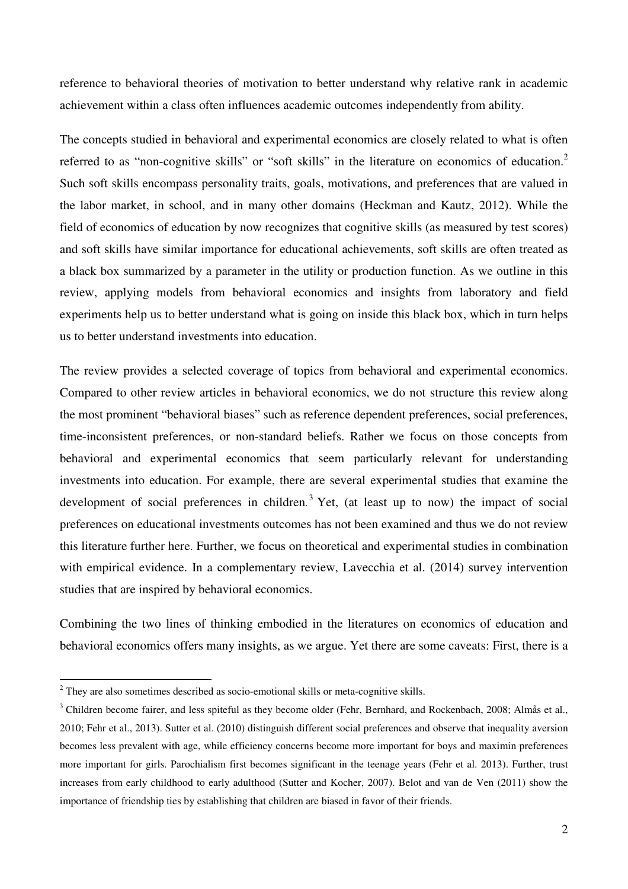reference to behavioral theories of motivation to better understand why relative rank in academic achievement within a class often influences academic outcomes independently from ability.

The concepts studied in behavioral and experimental economics are closely related to what is often referred to as "non-cognitive skills" or "soft skills" in the literature on economics of education.<sup>2</sup> Such soft skills encompass personality traits, goals, motivations, and preferences that are valued in the labor market, in school, and in many other domains (Heckman and Kautz, 2012). While the field of economics of education by now recognizes that cognitive skills (as measured by test scores) and soft skills have similar importance for educational achievements, soft skills are often treated as a black box summarized by a parameter in the utility or production function. As we outline in this review, applying models from behavioral economics and insights from laboratory and field experiments help us to better understand what is going on inside this black box, which in turn helps us to better understand investments into education.

The review provides a selected coverage of topics from behavioral and experimental economics. Compared to other review articles in behavioral economics, we do not structure this review along the most prominent "behavioral biases" such as reference dependent preferences, social preferences, time-inconsistent preferences, or non-standard beliefs. Rather we focus on those concepts from behavioral and experimental economics that seem particularly relevant for understanding investments into education. For example, there are several experimental studies that examine the development of social preferences in children.<sup>3</sup> Yet, (at least up to now) the impact of social preferences on educational investments outcomes has not been examined and thus we do not review this literature further here. Further, we focus on theoretical and experimental studies in combination with empirical evidence. In a complementary review, Lavecchia et al. (2014) survey intervention studies that are inspired by behavioral economics.

Combining the two lines of thinking embodied in the literatures on economics of education and behavioral economics offers many insights, as we argue. Yet there are some caveats: First, there is a

 $2^2$  They are also sometimes described as socio-emotional skills or meta-cognitive skills.

<sup>&</sup>lt;sup>3</sup> Children become fairer, and less spiteful as they become older (Fehr, Bernhard, and Rockenbach, 2008; Almås et al., 2010; Fehr et al., 2013). Sutter et al. (2010) distinguish different social preferences and observe that inequality aversion becomes less prevalent with age, while efficiency concerns become more important for boys and maximin preferences more important for girls. Parochialism first becomes significant in the teenage years (Fehr et al. 2013). Further, trust increases from early childhood to early adulthood (Sutter and Kocher, 2007). Belot and van de Ven (2011) show the importance of friendship ties by establishing that children are biased in favor of their friends.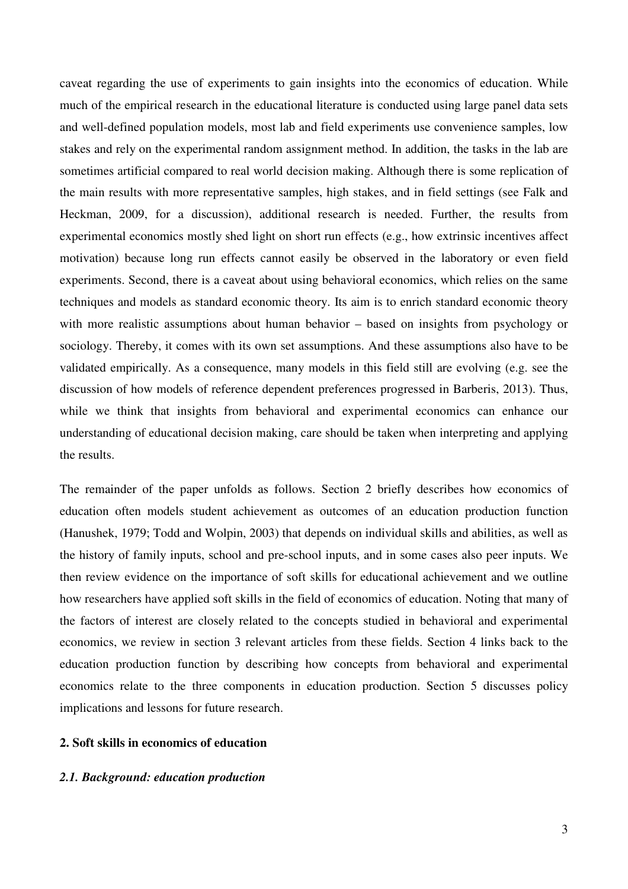caveat regarding the use of experiments to gain insights into the economics of education. While much of the empirical research in the educational literature is conducted using large panel data sets and well-defined population models, most lab and field experiments use convenience samples, low stakes and rely on the experimental random assignment method. In addition, the tasks in the lab are sometimes artificial compared to real world decision making. Although there is some replication of the main results with more representative samples, high stakes, and in field settings (see Falk and Heckman, 2009, for a discussion), additional research is needed. Further, the results from experimental economics mostly shed light on short run effects (e.g., how extrinsic incentives affect motivation) because long run effects cannot easily be observed in the laboratory or even field experiments. Second, there is a caveat about using behavioral economics, which relies on the same techniques and models as standard economic theory. Its aim is to enrich standard economic theory with more realistic assumptions about human behavior – based on insights from psychology or sociology. Thereby, it comes with its own set assumptions. And these assumptions also have to be validated empirically. As a consequence, many models in this field still are evolving (e.g. see the discussion of how models of reference dependent preferences progressed in Barberis, 2013). Thus, while we think that insights from behavioral and experimental economics can enhance our understanding of educational decision making, care should be taken when interpreting and applying the results.

The remainder of the paper unfolds as follows. Section 2 briefly describes how economics of education often models student achievement as outcomes of an education production function (Hanushek, 1979; Todd and Wolpin, 2003) that depends on individual skills and abilities, as well as the history of family inputs, school and pre-school inputs, and in some cases also peer inputs. We then review evidence on the importance of soft skills for educational achievement and we outline how researchers have applied soft skills in the field of economics of education. Noting that many of the factors of interest are closely related to the concepts studied in behavioral and experimental economics, we review in section 3 relevant articles from these fields. Section 4 links back to the education production function by describing how concepts from behavioral and experimental economics relate to the three components in education production. Section 5 discusses policy implications and lessons for future research.

### **2. Soft skills in economics of education**

#### *2.1. Background: education production*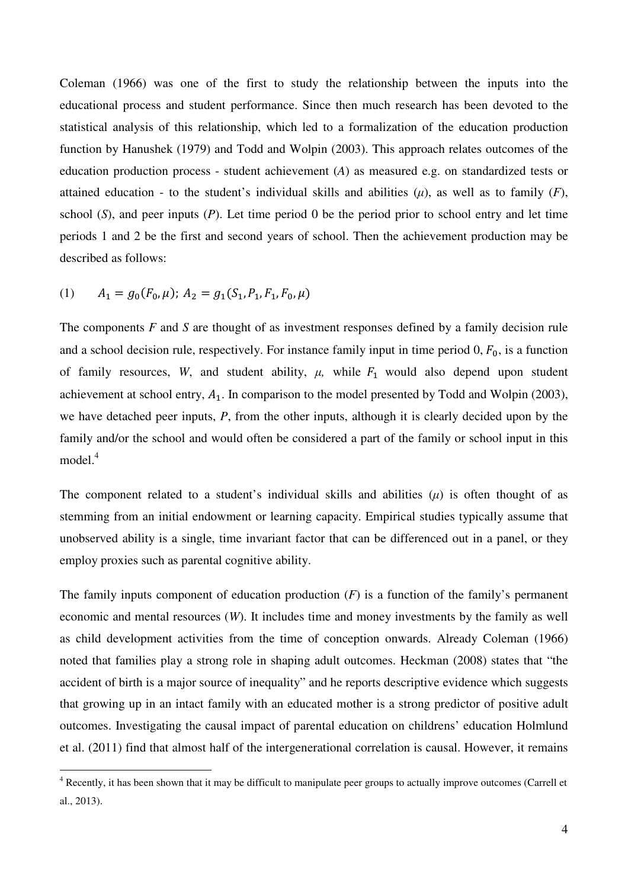Coleman (1966) was one of the first to study the relationship between the inputs into the educational process and student performance. Since then much research has been devoted to the statistical analysis of this relationship, which led to a formalization of the education production function by Hanushek (1979) and Todd and Wolpin (2003). This approach relates outcomes of the education production process - student achievement (*A*) as measured e.g. on standardized tests or attained education - to the student's individual skills and abilities  $(\mu)$ , as well as to family  $(F)$ , school  $(S)$ , and peer inputs  $(P)$ . Let time period 0 be the period prior to school entry and let time periods 1 and 2 be the first and second years of school. Then the achievement production may be described as follows:

(1) 
$$
A_1 = g_0(F_0, \mu); A_2 = g_1(S_1, P_1, F_1, F_0, \mu)
$$

 $\overline{a}$ 

The components *F* and *S* are thought of as investment responses defined by a family decision rule and a school decision rule, respectively. For instance family input in time period  $0, F_0$ , is a function of family resources, *W*, and student ability,  $\mu$ , while  $F_1$  would also depend upon student achievement at school entry,  $A_1$ . In comparison to the model presented by Todd and Wolpin (2003), we have detached peer inputs, *P*, from the other inputs, although it is clearly decided upon by the family and/or the school and would often be considered a part of the family or school input in this  $model.<sup>4</sup>$ 

The component related to a student's individual skills and abilities  $(\mu)$  is often thought of as stemming from an initial endowment or learning capacity. Empirical studies typically assume that unobserved ability is a single, time invariant factor that can be differenced out in a panel, or they employ proxies such as parental cognitive ability.

The family inputs component of education production  $(F)$  is a function of the family's permanent economic and mental resources (*W*). It includes time and money investments by the family as well as child development activities from the time of conception onwards. Already Coleman (1966) noted that families play a strong role in shaping adult outcomes. Heckman (2008) states that "the accident of birth is a major source of inequality" and he reports descriptive evidence which suggests that growing up in an intact family with an educated mother is a strong predictor of positive adult outcomes. Investigating the causal impact of parental education on childrens' education Holmlund et al. (2011) find that almost half of the intergenerational correlation is causal. However, it remains

<sup>&</sup>lt;sup>4</sup> Recently, it has been shown that it may be difficult to manipulate peer groups to actually improve outcomes (Carrell et al., 2013).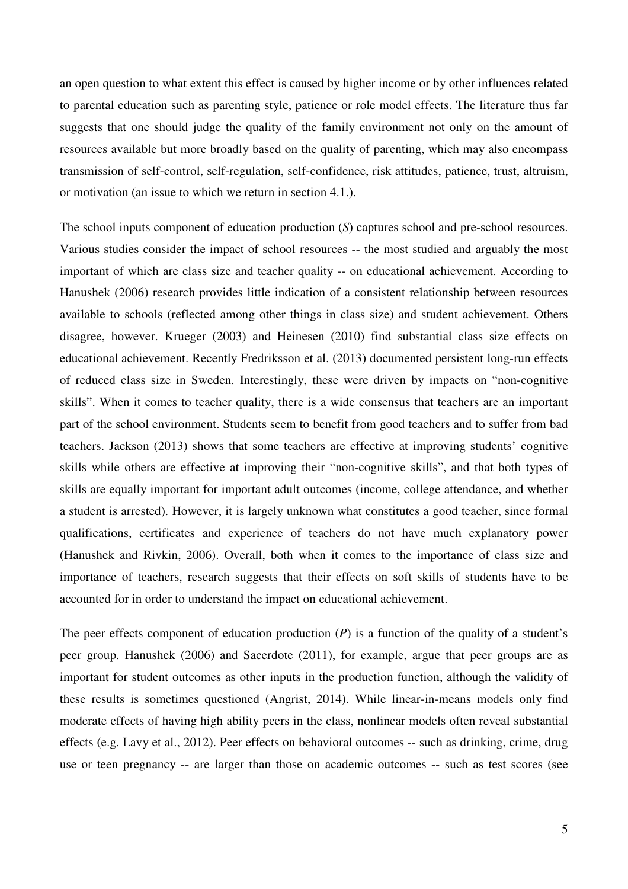an open question to what extent this effect is caused by higher income or by other influences related to parental education such as parenting style, patience or role model effects. The literature thus far suggests that one should judge the quality of the family environment not only on the amount of resources available but more broadly based on the quality of parenting, which may also encompass transmission of self-control, self-regulation, self-confidence, risk attitudes, patience, trust, altruism, or motivation (an issue to which we return in section 4.1.).

The school inputs component of education production (*S*) captures school and pre-school resources. Various studies consider the impact of school resources -- the most studied and arguably the most important of which are class size and teacher quality -- on educational achievement. According to Hanushek (2006) research provides little indication of a consistent relationship between resources available to schools (reflected among other things in class size) and student achievement. Others disagree, however. Krueger (2003) and Heinesen (2010) find substantial class size effects on educational achievement. Recently Fredriksson et al. (2013) documented persistent long-run effects of reduced class size in Sweden. Interestingly, these were driven by impacts on "non-cognitive skills". When it comes to teacher quality, there is a wide consensus that teachers are an important part of the school environment. Students seem to benefit from good teachers and to suffer from bad teachers. Jackson (2013) shows that some teachers are effective at improving students' cognitive skills while others are effective at improving their "non-cognitive skills", and that both types of skills are equally important for important adult outcomes (income, college attendance, and whether a student is arrested). However, it is largely unknown what constitutes a good teacher, since formal qualifications, certificates and experience of teachers do not have much explanatory power (Hanushek and Rivkin, 2006). Overall, both when it comes to the importance of class size and importance of teachers, research suggests that their effects on soft skills of students have to be accounted for in order to understand the impact on educational achievement.

The peer effects component of education production  $(P)$  is a function of the quality of a student's peer group. Hanushek (2006) and Sacerdote (2011), for example, argue that peer groups are as important for student outcomes as other inputs in the production function, although the validity of these results is sometimes questioned (Angrist, 2014). While linear-in-means models only find moderate effects of having high ability peers in the class, nonlinear models often reveal substantial effects (e.g. Lavy et al., 2012). Peer effects on behavioral outcomes -- such as drinking, crime, drug use or teen pregnancy -- are larger than those on academic outcomes -- such as test scores (see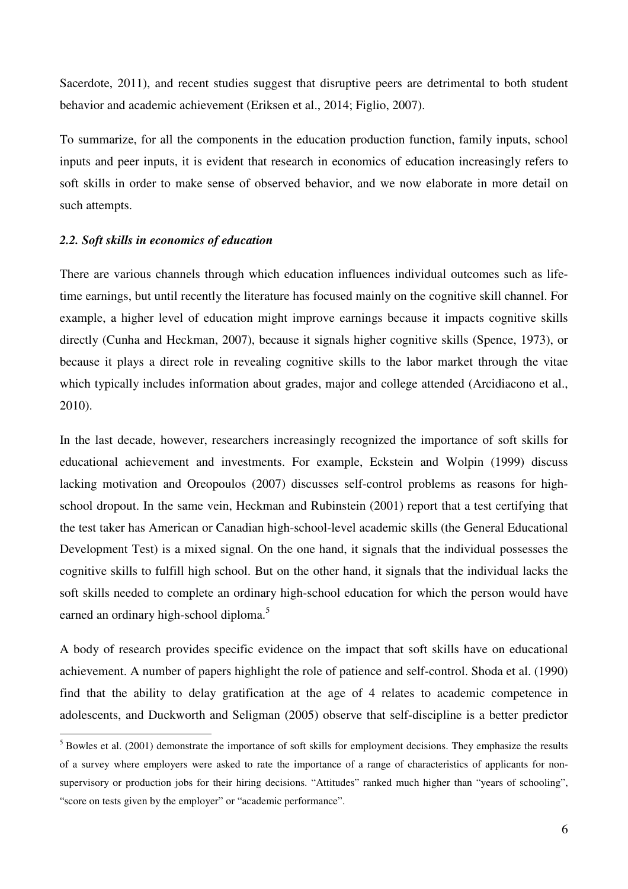Sacerdote, 2011), and recent studies suggest that disruptive peers are detrimental to both student behavior and academic achievement (Eriksen et al., 2014; Figlio, 2007).

To summarize, for all the components in the education production function, family inputs, school inputs and peer inputs, it is evident that research in economics of education increasingly refers to soft skills in order to make sense of observed behavior, and we now elaborate in more detail on such attempts.

#### *2.2. Soft skills in economics of education*

 $\overline{a}$ 

There are various channels through which education influences individual outcomes such as lifetime earnings, but until recently the literature has focused mainly on the cognitive skill channel. For example, a higher level of education might improve earnings because it impacts cognitive skills directly (Cunha and Heckman, 2007), because it signals higher cognitive skills (Spence, 1973), or because it plays a direct role in revealing cognitive skills to the labor market through the vitae which typically includes information about grades, major and college attended (Arcidiacono et al., 2010).

In the last decade, however, researchers increasingly recognized the importance of soft skills for educational achievement and investments. For example, Eckstein and Wolpin (1999) discuss lacking motivation and Oreopoulos (2007) discusses self-control problems as reasons for highschool dropout. In the same vein, Heckman and Rubinstein (2001) report that a test certifying that the test taker has American or Canadian high-school-level academic skills (the General Educational Development Test) is a mixed signal. On the one hand, it signals that the individual possesses the cognitive skills to fulfill high school. But on the other hand, it signals that the individual lacks the soft skills needed to complete an ordinary high-school education for which the person would have earned an ordinary high-school diploma.<sup>5</sup>

A body of research provides specific evidence on the impact that soft skills have on educational achievement. A number of papers highlight the role of patience and self-control. Shoda et al. (1990) find that the ability to delay gratification at the age of 4 relates to academic competence in adolescents, and Duckworth and Seligman (2005) observe that self-discipline is a better predictor

 $<sup>5</sup>$  Bowles et al. (2001) demonstrate the importance of soft skills for employment decisions. They emphasize the results</sup> of a survey where employers were asked to rate the importance of a range of characteristics of applicants for nonsupervisory or production jobs for their hiring decisions. "Attitudes" ranked much higher than "years of schooling", "score on tests given by the employer" or "academic performance".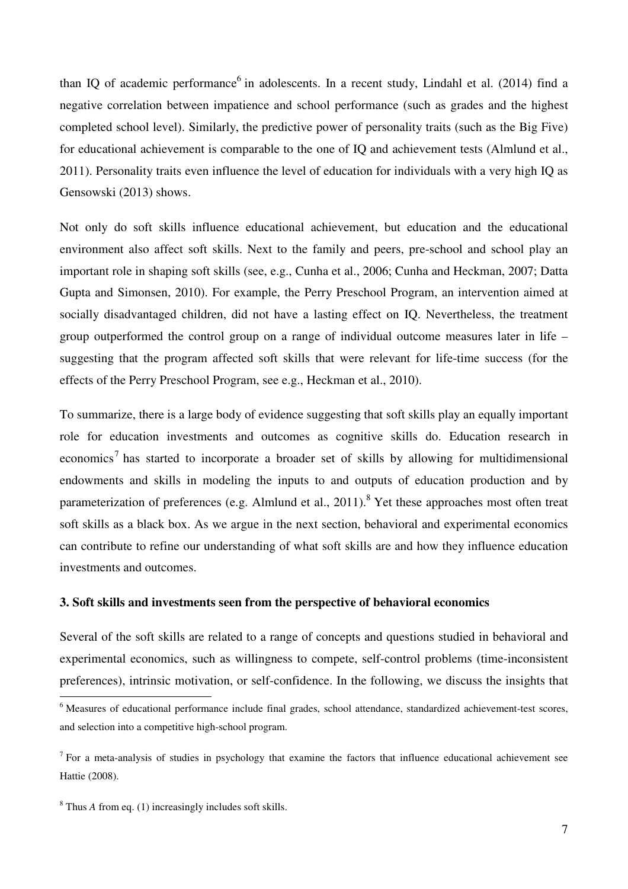than IQ of academic performance<sup>6</sup> in adolescents. In a recent study, Lindahl et al. (2014) find a negative correlation between impatience and school performance (such as grades and the highest completed school level). Similarly, the predictive power of personality traits (such as the Big Five) for educational achievement is comparable to the one of IQ and achievement tests (Almlund et al., 2011). Personality traits even influence the level of education for individuals with a very high IQ as Gensowski (2013) shows.

Not only do soft skills influence educational achievement, but education and the educational environment also affect soft skills. Next to the family and peers, pre-school and school play an important role in shaping soft skills (see, e.g., Cunha et al., 2006; Cunha and Heckman, 2007; Datta Gupta and Simonsen, 2010). For example, the Perry Preschool Program, an intervention aimed at socially disadvantaged children, did not have a lasting effect on IQ. Nevertheless, the treatment group outperformed the control group on a range of individual outcome measures later in life – suggesting that the program affected soft skills that were relevant for life-time success (for the effects of the Perry Preschool Program, see e.g., Heckman et al., 2010).

To summarize, there is a large body of evidence suggesting that soft skills play an equally important role for education investments and outcomes as cognitive skills do. Education research in economics<sup>7</sup> has started to incorporate a broader set of skills by allowing for multidimensional endowments and skills in modeling the inputs to and outputs of education production and by parameterization of preferences (e.g. Almlund et al., 2011).<sup>8</sup> Yet these approaches most often treat soft skills as a black box. As we argue in the next section, behavioral and experimental economics can contribute to refine our understanding of what soft skills are and how they influence education investments and outcomes.

#### **3. Soft skills and investments seen from the perspective of behavioral economics**

Several of the soft skills are related to a range of concepts and questions studied in behavioral and experimental economics, such as willingness to compete, self-control problems (time-inconsistent preferences), intrinsic motivation, or self-confidence. In the following, we discuss the insights that

<sup>&</sup>lt;sup>6</sup> Measures of educational performance include final grades, school attendance, standardized achievement-test scores, and selection into a competitive high-school program.

 $<sup>7</sup>$  For a meta-analysis of studies in psychology that examine the factors that influence educational achievement see</sup> Hattie (2008).

<sup>8</sup> Thus *A* from eq. (1) increasingly includes soft skills.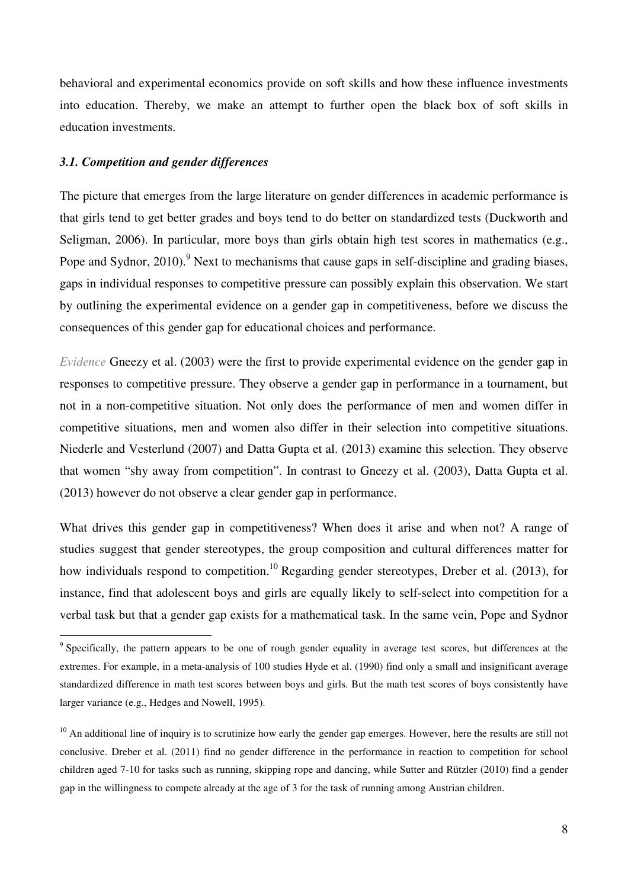behavioral and experimental economics provide on soft skills and how these influence investments into education. Thereby, we make an attempt to further open the black box of soft skills in education investments.

#### *3.1. Competition and gender differences*

 $\overline{a}$ 

The picture that emerges from the large literature on gender differences in academic performance is that girls tend to get better grades and boys tend to do better on standardized tests (Duckworth and Seligman, 2006). In particular, more boys than girls obtain high test scores in mathematics (e.g., Pope and Sydnor, 2010). <sup>9</sup> Next to mechanisms that cause gaps in self-discipline and grading biases, gaps in individual responses to competitive pressure can possibly explain this observation. We start by outlining the experimental evidence on a gender gap in competitiveness, before we discuss the consequences of this gender gap for educational choices and performance.

*Evidence* Gneezy et al. (2003) were the first to provide experimental evidence on the gender gap in responses to competitive pressure. They observe a gender gap in performance in a tournament, but not in a non-competitive situation. Not only does the performance of men and women differ in competitive situations, men and women also differ in their selection into competitive situations. Niederle and Vesterlund (2007) and Datta Gupta et al. (2013) examine this selection. They observe that women "shy away from competition". In contrast to Gneezy et al. (2003), Datta Gupta et al. (2013) however do not observe a clear gender gap in performance.

What drives this gender gap in competitiveness? When does it arise and when not? A range of studies suggest that gender stereotypes, the group composition and cultural differences matter for how individuals respond to competition.<sup>10</sup> Regarding gender stereotypes, Dreber et al. (2013), for instance, find that adolescent boys and girls are equally likely to self-select into competition for a verbal task but that a gender gap exists for a mathematical task. In the same vein, Pope and Sydnor

<sup>&</sup>lt;sup>9</sup> Specifically, the pattern appears to be one of rough gender equality in average test scores, but differences at the extremes. For example, in a meta-analysis of 100 studies Hyde et al. (1990) find only a small and insignificant average standardized difference in math test scores between boys and girls. But the math test scores of boys consistently have larger variance (e.g., Hedges and Nowell, 1995).

 $10$  An additional line of inquiry is to scrutinize how early the gender gap emerges. However, here the results are still not conclusive. Dreber et al. (2011) find no gender difference in the performance in reaction to competition for school children aged 7-10 for tasks such as running, skipping rope and dancing, while Sutter and Rützler (2010) find a gender gap in the willingness to compete already at the age of 3 for the task of running among Austrian children.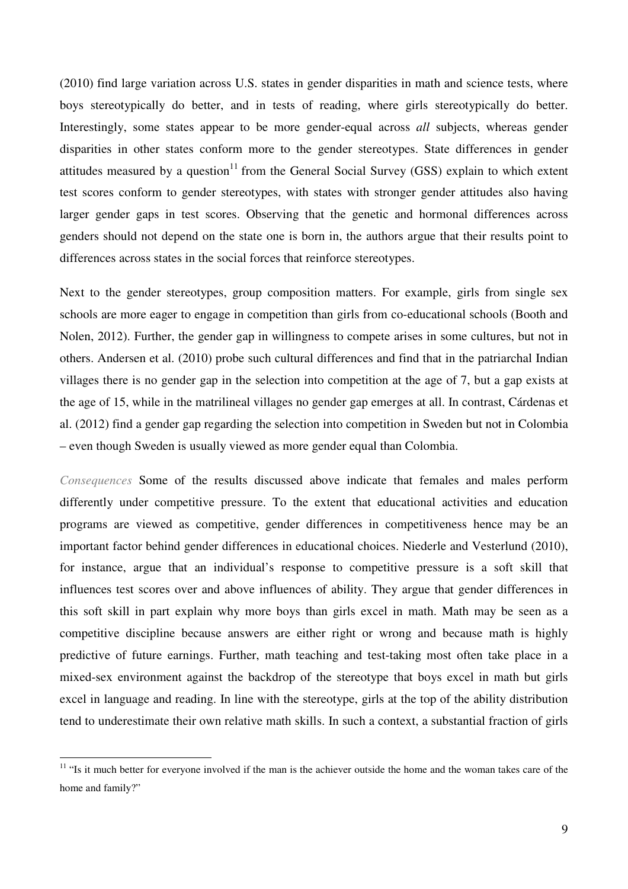(2010) find large variation across U.S. states in gender disparities in math and science tests, where boys stereotypically do better, and in tests of reading, where girls stereotypically do better. Interestingly, some states appear to be more gender-equal across *all* subjects, whereas gender disparities in other states conform more to the gender stereotypes. State differences in gender attitudes measured by a question<sup>11</sup> from the General Social Survey (GSS) explain to which extent test scores conform to gender stereotypes, with states with stronger gender attitudes also having larger gender gaps in test scores. Observing that the genetic and hormonal differences across genders should not depend on the state one is born in, the authors argue that their results point to differences across states in the social forces that reinforce stereotypes.

Next to the gender stereotypes, group composition matters. For example, girls from single sex schools are more eager to engage in competition than girls from co-educational schools (Booth and Nolen, 2012). Further, the gender gap in willingness to compete arises in some cultures, but not in others. Andersen et al. (2010) probe such cultural differences and find that in the patriarchal Indian villages there is no gender gap in the selection into competition at the age of 7, but a gap exists at the age of 15, while in the matrilineal villages no gender gap emerges at all. In contrast, Cárdenas et al. (2012) find a gender gap regarding the selection into competition in Sweden but not in Colombia – even though Sweden is usually viewed as more gender equal than Colombia.

*Consequences* Some of the results discussed above indicate that females and males perform differently under competitive pressure. To the extent that educational activities and education programs are viewed as competitive, gender differences in competitiveness hence may be an important factor behind gender differences in educational choices. Niederle and Vesterlund (2010), for instance, argue that an individual's response to competitive pressure is a soft skill that influences test scores over and above influences of ability. They argue that gender differences in this soft skill in part explain why more boys than girls excel in math. Math may be seen as a competitive discipline because answers are either right or wrong and because math is highly predictive of future earnings. Further, math teaching and test-taking most often take place in a mixed-sex environment against the backdrop of the stereotype that boys excel in math but girls excel in language and reading. In line with the stereotype, girls at the top of the ability distribution tend to underestimate their own relative math skills. In such a context, a substantial fraction of girls

 $11$  "Is it much better for everyone involved if the man is the achiever outside the home and the woman takes care of the home and family?"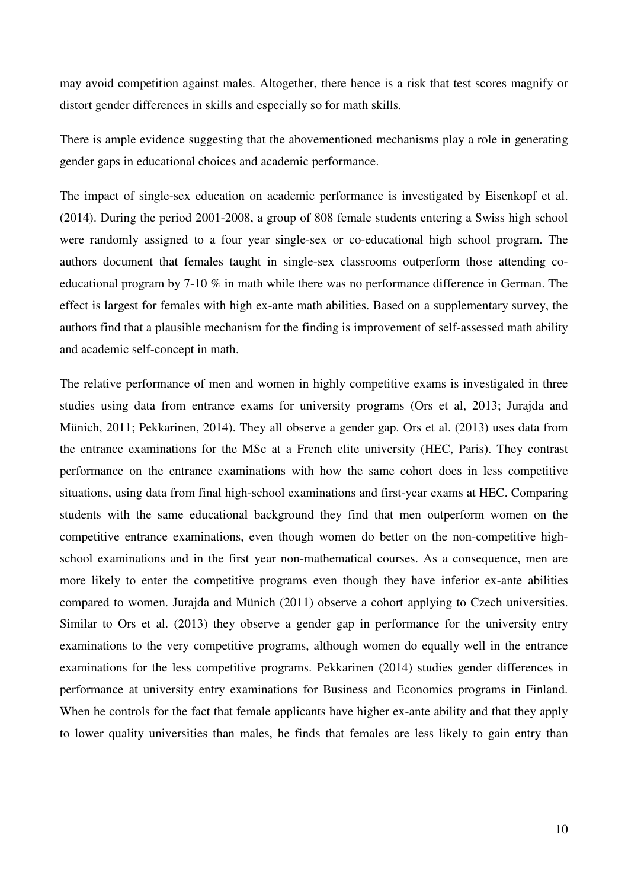may avoid competition against males. Altogether, there hence is a risk that test scores magnify or distort gender differences in skills and especially so for math skills.

There is ample evidence suggesting that the abovementioned mechanisms play a role in generating gender gaps in educational choices and academic performance.

The impact of single-sex education on academic performance is investigated by Eisenkopf et al. (2014). During the period 2001-2008, a group of 808 female students entering a Swiss high school were randomly assigned to a four year single-sex or co-educational high school program. The authors document that females taught in single-sex classrooms outperform those attending coeducational program by 7-10 % in math while there was no performance difference in German. The effect is largest for females with high ex-ante math abilities. Based on a supplementary survey, the authors find that a plausible mechanism for the finding is improvement of self-assessed math ability and academic self-concept in math.

The relative performance of men and women in highly competitive exams is investigated in three studies using data from entrance exams for university programs (Ors et al, 2013; Jurajda and Münich, 2011; Pekkarinen, 2014). They all observe a gender gap. Ors et al. (2013) uses data from the entrance examinations for the MSc at a French elite university (HEC, Paris). They contrast performance on the entrance examinations with how the same cohort does in less competitive situations, using data from final high-school examinations and first-year exams at HEC. Comparing students with the same educational background they find that men outperform women on the competitive entrance examinations, even though women do better on the non-competitive highschool examinations and in the first year non-mathematical courses. As a consequence, men are more likely to enter the competitive programs even though they have inferior ex-ante abilities compared to women. Jurajda and Münich (2011) observe a cohort applying to Czech universities. Similar to Ors et al. (2013) they observe a gender gap in performance for the university entry examinations to the very competitive programs, although women do equally well in the entrance examinations for the less competitive programs. Pekkarinen (2014) studies gender differences in performance at university entry examinations for Business and Economics programs in Finland. When he controls for the fact that female applicants have higher ex-ante ability and that they apply to lower quality universities than males, he finds that females are less likely to gain entry than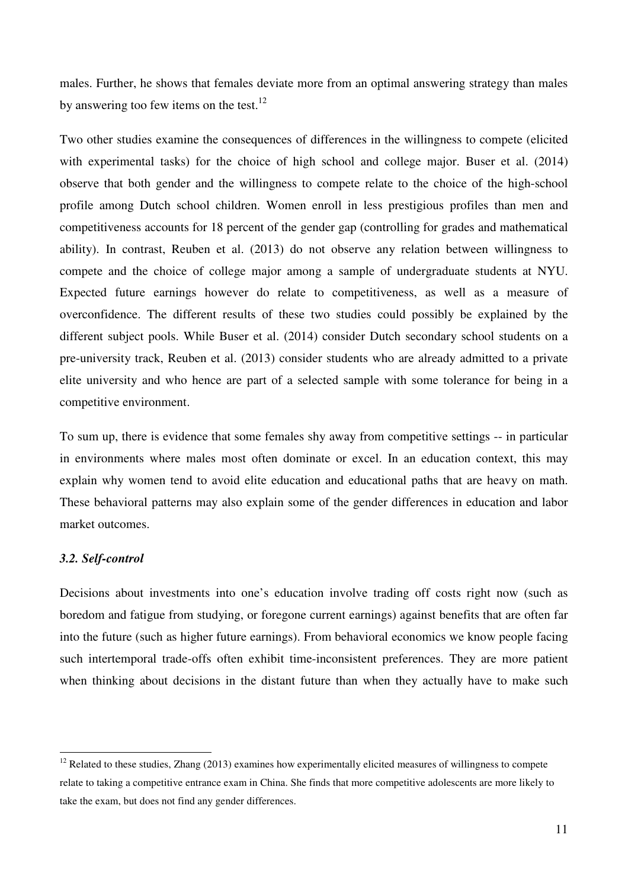males. Further, he shows that females deviate more from an optimal answering strategy than males by answering too few items on the test. $12$ 

Two other studies examine the consequences of differences in the willingness to compete (elicited with experimental tasks) for the choice of high school and college major. Buser et al. (2014) observe that both gender and the willingness to compete relate to the choice of the high-school profile among Dutch school children. Women enroll in less prestigious profiles than men and competitiveness accounts for 18 percent of the gender gap (controlling for grades and mathematical ability). In contrast, Reuben et al. (2013) do not observe any relation between willingness to compete and the choice of college major among a sample of undergraduate students at NYU. Expected future earnings however do relate to competitiveness, as well as a measure of overconfidence. The different results of these two studies could possibly be explained by the different subject pools. While Buser et al. (2014) consider Dutch secondary school students on a pre-university track, Reuben et al. (2013) consider students who are already admitted to a private elite university and who hence are part of a selected sample with some tolerance for being in a competitive environment.

To sum up, there is evidence that some females shy away from competitive settings -- in particular in environments where males most often dominate or excel. In an education context, this may explain why women tend to avoid elite education and educational paths that are heavy on math. These behavioral patterns may also explain some of the gender differences in education and labor market outcomes.

#### *3.2. Self-control*

 $\overline{a}$ 

Decisions about investments into one's education involve trading off costs right now (such as boredom and fatigue from studying, or foregone current earnings) against benefits that are often far into the future (such as higher future earnings). From behavioral economics we know people facing such intertemporal trade-offs often exhibit time-inconsistent preferences. They are more patient when thinking about decisions in the distant future than when they actually have to make such

 $12$  Related to these studies, Zhang (2013) examines how experimentally elicited measures of willingness to compete relate to taking a competitive entrance exam in China. She finds that more competitive adolescents are more likely to take the exam, but does not find any gender differences.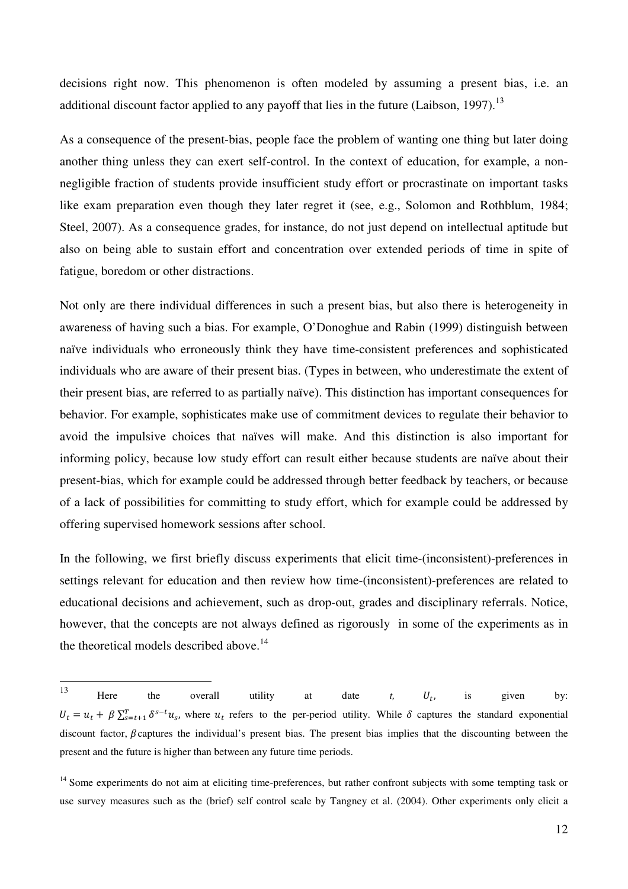decisions right now. This phenomenon is often modeled by assuming a present bias, i.e. an additional discount factor applied to any payoff that lies in the future (Laibson, 1997).<sup>13</sup>

As a consequence of the present-bias, people face the problem of wanting one thing but later doing another thing unless they can exert self-control. In the context of education, for example, a nonnegligible fraction of students provide insufficient study effort or procrastinate on important tasks like exam preparation even though they later regret it (see, e.g., Solomon and Rothblum, 1984; Steel, 2007). As a consequence grades, for instance, do not just depend on intellectual aptitude but also on being able to sustain effort and concentration over extended periods of time in spite of fatigue, boredom or other distractions.

Not only are there individual differences in such a present bias, but also there is heterogeneity in awareness of having such a bias. For example, O'Donoghue and Rabin (1999) distinguish between naïve individuals who erroneously think they have time-consistent preferences and sophisticated individuals who are aware of their present bias. (Types in between, who underestimate the extent of their present bias, are referred to as partially naïve). This distinction has important consequences for behavior. For example, sophisticates make use of commitment devices to regulate their behavior to avoid the impulsive choices that naïves will make. And this distinction is also important for informing policy, because low study effort can result either because students are naïve about their present-bias, which for example could be addressed through better feedback by teachers, or because of a lack of possibilities for committing to study effort, which for example could be addressed by offering supervised homework sessions after school.

In the following, we first briefly discuss experiments that elicit time-(inconsistent)-preferences in settings relevant for education and then review how time-(inconsistent)-preferences are related to educational decisions and achievement, such as drop-out, grades and disciplinary referrals. Notice, however, that the concepts are not always defined as rigorously in some of the experiments as in the theoretical models described above.<sup>14</sup>

<sup>13</sup> 13 Here the overall utility at date  $t$ ,  $U_t$  $U_t$ , is given by:  $U_t = u_t + \beta \sum_{s=t+1}^T \delta^{s-t} u_s$ , where  $u_t$  refers to the per-period utility. While  $\delta$  captures the standard exponential discount factor,  $\beta$  captures the individual's present bias. The present bias implies that the discounting between the present and the future is higher than between any future time periods.

<sup>&</sup>lt;sup>14</sup> Some experiments do not aim at eliciting time-preferences, but rather confront subjects with some tempting task or use survey measures such as the (brief) self control scale by Tangney et al. (2004). Other experiments only elicit a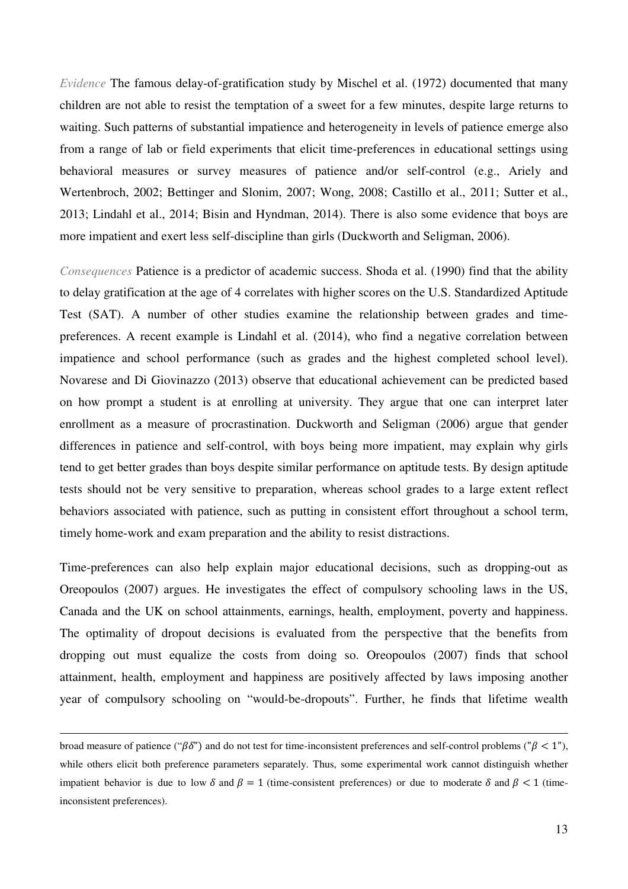*Evidence* The famous delay-of-gratification study by Mischel et al. (1972) documented that many children are not able to resist the temptation of a sweet for a few minutes, despite large returns to waiting. Such patterns of substantial impatience and heterogeneity in levels of patience emerge also from a range of lab or field experiments that elicit time-preferences in educational settings using behavioral measures or survey measures of patience and/or self-control (e.g., Ariely and Wertenbroch, 2002; Bettinger and Slonim, 2007; Wong, 2008; Castillo et al., 2011; Sutter et al., 2013; Lindahl et al., 2014; Bisin and Hyndman, 2014). There is also some evidence that boys are more impatient and exert less self-discipline than girls (Duckworth and Seligman, 2006).

*Consequences* Patience is a predictor of academic success. Shoda et al. (1990) find that the ability to delay gratification at the age of 4 correlates with higher scores on the U.S. Standardized Aptitude Test (SAT). A number of other studies examine the relationship between grades and timepreferences. A recent example is Lindahl et al. (2014), who find a negative correlation between impatience and school performance (such as grades and the highest completed school level). Novarese and Di Giovinazzo (2013) observe that educational achievement can be predicted based on how prompt a student is at enrolling at university. They argue that one can interpret later enrollment as a measure of procrastination. Duckworth and Seligman (2006) argue that gender differences in patience and self-control, with boys being more impatient, may explain why girls tend to get better grades than boys despite similar performance on aptitude tests. By design aptitude tests should not be very sensitive to preparation, whereas school grades to a large extent reflect behaviors associated with patience, such as putting in consistent effort throughout a school term, timely home-work and exam preparation and the ability to resist distractions.

Time-preferences can also help explain major educational decisions, such as dropping-out as Oreopoulos (2007) argues. He investigates the effect of compulsory schooling laws in the US, Canada and the UK on school attainments, earnings, health, employment, poverty and happiness. The optimality of dropout decisions is evaluated from the perspective that the benefits from dropping out must equalize the costs from doing so. Oreopoulos (2007) finds that school attainment, health, employment and happiness are positively affected by laws imposing another year of compulsory schooling on "would-be-dropouts". Further, he finds that lifetime wealth

broad measure of patience (" $\beta \delta$ ") and do not test for time-inconsistent preferences and self-control problems (" $\beta$  < 1"), while others elicit both preference parameters separately. Thus, some experimental work cannot distinguish whether impatient behavior is due to low  $\delta$  and  $\beta = 1$  (time-consistent preferences) or due to moderate  $\delta$  and  $\beta < 1$  (timeinconsistent preferences).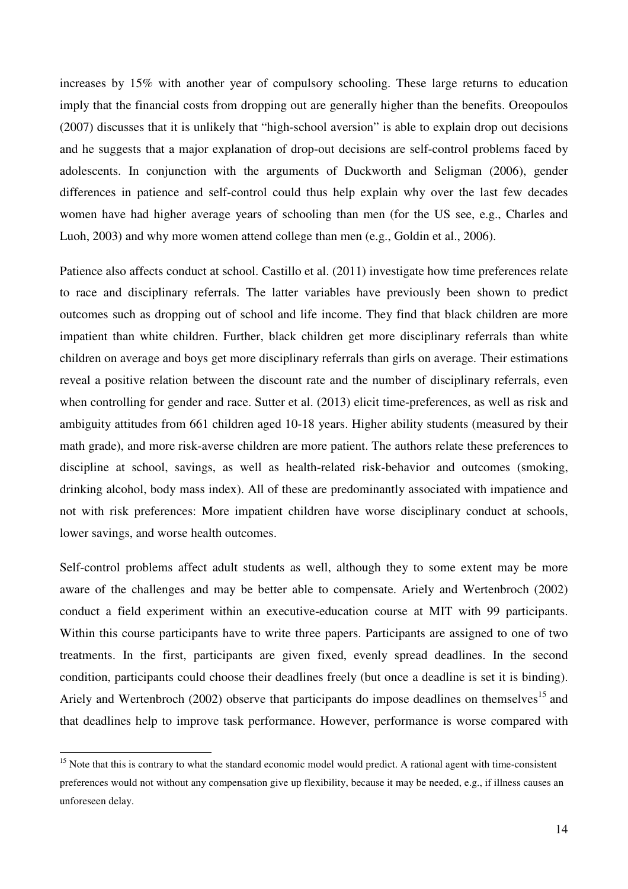increases by 15% with another year of compulsory schooling. These large returns to education imply that the financial costs from dropping out are generally higher than the benefits. Oreopoulos (2007) discusses that it is unlikely that "high-school aversion" is able to explain drop out decisions and he suggests that a major explanation of drop-out decisions are self-control problems faced by adolescents. In conjunction with the arguments of Duckworth and Seligman (2006), gender differences in patience and self-control could thus help explain why over the last few decades women have had higher average years of schooling than men (for the US see, e.g., Charles and Luoh, 2003) and why more women attend college than men (e.g., Goldin et al., 2006).

Patience also affects conduct at school. Castillo et al. (2011) investigate how time preferences relate to race and disciplinary referrals. The latter variables have previously been shown to predict outcomes such as dropping out of school and life income. They find that black children are more impatient than white children. Further, black children get more disciplinary referrals than white children on average and boys get more disciplinary referrals than girls on average. Their estimations reveal a positive relation between the discount rate and the number of disciplinary referrals, even when controlling for gender and race. Sutter et al. (2013) elicit time-preferences, as well as risk and ambiguity attitudes from 661 children aged 10-18 years. Higher ability students (measured by their math grade), and more risk-averse children are more patient. The authors relate these preferences to discipline at school, savings, as well as health-related risk-behavior and outcomes (smoking, drinking alcohol, body mass index). All of these are predominantly associated with impatience and not with risk preferences: More impatient children have worse disciplinary conduct at schools, lower savings, and worse health outcomes.

Self-control problems affect adult students as well, although they to some extent may be more aware of the challenges and may be better able to compensate. Ariely and Wertenbroch (2002) conduct a field experiment within an executive-education course at MIT with 99 participants. Within this course participants have to write three papers. Participants are assigned to one of two treatments. In the first, participants are given fixed, evenly spread deadlines. In the second condition, participants could choose their deadlines freely (but once a deadline is set it is binding). Ariely and Wertenbroch  $(2002)$  observe that participants do impose deadlines on themselves<sup>15</sup> and that deadlines help to improve task performance. However, performance is worse compared with

<sup>&</sup>lt;sup>15</sup> Note that this is contrary to what the standard economic model would predict. A rational agent with time-consistent preferences would not without any compensation give up flexibility, because it may be needed, e.g., if illness causes an unforeseen delay.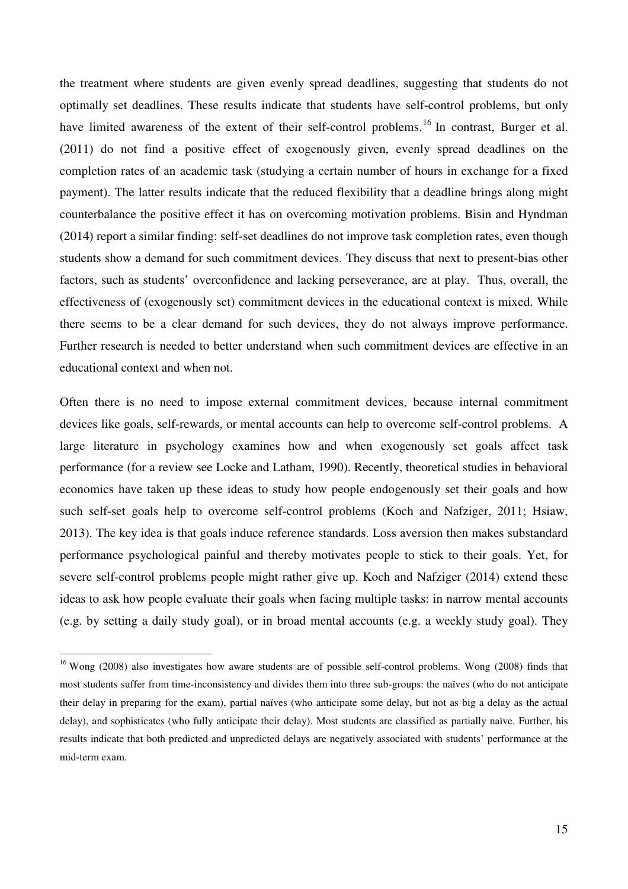the treatment where students are given evenly spread deadlines, suggesting that students do not optimally set deadlines. These results indicate that students have self-control problems, but only have limited awareness of the extent of their self-control problems.<sup>16</sup> In contrast, Burger et al. (2011) do not find a positive effect of exogenously given, evenly spread deadlines on the completion rates of an academic task (studying a certain number of hours in exchange for a fixed payment). The latter results indicate that the reduced flexibility that a deadline brings along might counterbalance the positive effect it has on overcoming motivation problems. Bisin and Hyndman (2014) report a similar finding: self-set deadlines do not improve task completion rates, even though students show a demand for such commitment devices. They discuss that next to present-bias other factors, such as students' overconfidence and lacking perseverance, are at play. Thus, overall, the effectiveness of (exogenously set) commitment devices in the educational context is mixed. While there seems to be a clear demand for such devices, they do not always improve performance. Further research is needed to better understand when such commitment devices are effective in an educational context and when not.

Often there is no need to impose external commitment devices, because internal commitment devices like goals, self-rewards, or mental accounts can help to overcome self-control problems. A large literature in psychology examines how and when exogenously set goals affect task performance (for a review see Locke and Latham, 1990). Recently, theoretical studies in behavioral economics have taken up these ideas to study how people endogenously set their goals and how such self-set goals help to overcome self-control problems (Koch and Nafziger, 2011; Hsiaw, 2013). The key idea is that goals induce reference standards. Loss aversion then makes substandard performance psychological painful and thereby motivates people to stick to their goals. Yet, for severe self-control problems people might rather give up. Koch and Nafziger (2014) extend these ideas to ask how people evaluate their goals when facing multiple tasks: in narrow mental accounts (e.g. by setting a daily study goal), or in broad mental accounts (e.g. a weekly study goal). They

<sup>&</sup>lt;sup>16</sup> Wong (2008) also investigates how aware students are of possible self-control problems. Wong (2008) finds that most students suffer from time-inconsistency and divides them into three sub-groups: the naïves (who do not anticipate their delay in preparing for the exam), partial naïves (who anticipate some delay, but not as big a delay as the actual delay), and sophisticates (who fully anticipate their delay). Most students are classified as partially naïve. Further, his results indicate that both predicted and unpredicted delays are negatively associated with students' performance at the mid-term exam.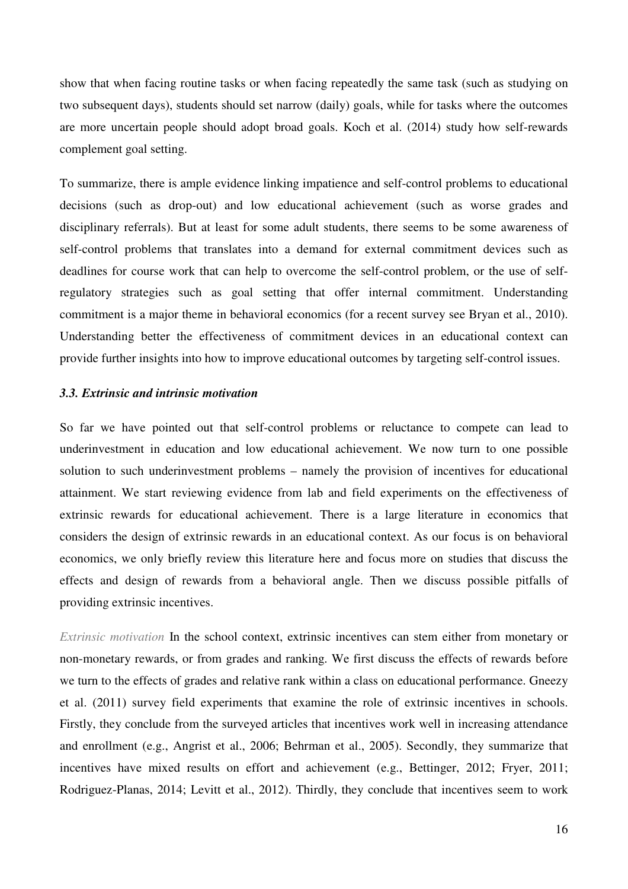show that when facing routine tasks or when facing repeatedly the same task (such as studying on two subsequent days), students should set narrow (daily) goals, while for tasks where the outcomes are more uncertain people should adopt broad goals. Koch et al. (2014) study how self-rewards complement goal setting.

To summarize, there is ample evidence linking impatience and self-control problems to educational decisions (such as drop-out) and low educational achievement (such as worse grades and disciplinary referrals). But at least for some adult students, there seems to be some awareness of self-control problems that translates into a demand for external commitment devices such as deadlines for course work that can help to overcome the self-control problem, or the use of selfregulatory strategies such as goal setting that offer internal commitment. Understanding commitment is a major theme in behavioral economics (for a recent survey see Bryan et al., 2010). Understanding better the effectiveness of commitment devices in an educational context can provide further insights into how to improve educational outcomes by targeting self-control issues.

#### *3.3. Extrinsic and intrinsic motivation*

So far we have pointed out that self-control problems or reluctance to compete can lead to underinvestment in education and low educational achievement. We now turn to one possible solution to such underinvestment problems – namely the provision of incentives for educational attainment. We start reviewing evidence from lab and field experiments on the effectiveness of extrinsic rewards for educational achievement. There is a large literature in economics that considers the design of extrinsic rewards in an educational context. As our focus is on behavioral economics, we only briefly review this literature here and focus more on studies that discuss the effects and design of rewards from a behavioral angle. Then we discuss possible pitfalls of providing extrinsic incentives.

*Extrinsic motivation* In the school context, extrinsic incentives can stem either from monetary or non-monetary rewards, or from grades and ranking. We first discuss the effects of rewards before we turn to the effects of grades and relative rank within a class on educational performance. Gneezy et al. (2011) survey field experiments that examine the role of extrinsic incentives in schools. Firstly, they conclude from the surveyed articles that incentives work well in increasing attendance and enrollment (e.g., Angrist et al., 2006; Behrman et al., 2005). Secondly, they summarize that incentives have mixed results on effort and achievement (e.g., Bettinger, 2012; Fryer, 2011; Rodriguez-Planas, 2014; Levitt et al., 2012). Thirdly, they conclude that incentives seem to work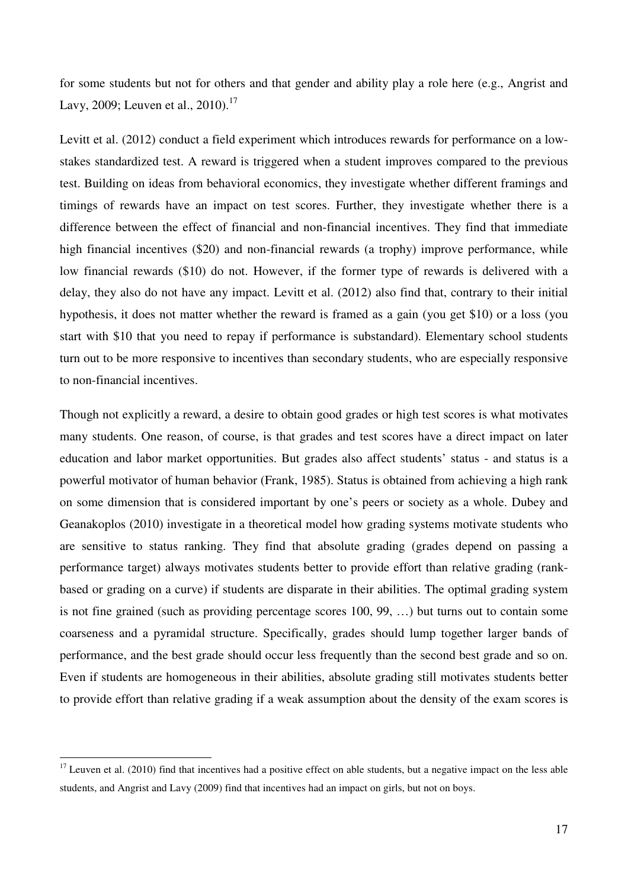for some students but not for others and that gender and ability play a role here (e.g., Angrist and Lavy, 2009; Leuven et al.,  $2010$ .<sup>17</sup>

Levitt et al. (2012) conduct a field experiment which introduces rewards for performance on a lowstakes standardized test. A reward is triggered when a student improves compared to the previous test. Building on ideas from behavioral economics, they investigate whether different framings and timings of rewards have an impact on test scores. Further, they investigate whether there is a difference between the effect of financial and non-financial incentives. They find that immediate high financial incentives (\$20) and non-financial rewards (a trophy) improve performance, while low financial rewards (\$10) do not. However, if the former type of rewards is delivered with a delay, they also do not have any impact. Levitt et al. (2012) also find that, contrary to their initial hypothesis, it does not matter whether the reward is framed as a gain (you get \$10) or a loss (you start with \$10 that you need to repay if performance is substandard). Elementary school students turn out to be more responsive to incentives than secondary students, who are especially responsive to non-financial incentives.

Though not explicitly a reward, a desire to obtain good grades or high test scores is what motivates many students. One reason, of course, is that grades and test scores have a direct impact on later education and labor market opportunities. But grades also affect students' status - and status is a powerful motivator of human behavior (Frank, 1985). Status is obtained from achieving a high rank on some dimension that is considered important by one's peers or society as a whole. Dubey and Geanakoplos (2010) investigate in a theoretical model how grading systems motivate students who are sensitive to status ranking. They find that absolute grading (grades depend on passing a performance target) always motivates students better to provide effort than relative grading (rankbased or grading on a curve) if students are disparate in their abilities. The optimal grading system is not fine grained (such as providing percentage scores 100, 99, …) but turns out to contain some coarseness and a pyramidal structure. Specifically, grades should lump together larger bands of performance, and the best grade should occur less frequently than the second best grade and so on. Even if students are homogeneous in their abilities, absolute grading still motivates students better to provide effort than relative grading if a weak assumption about the density of the exam scores is

 $17$  Leuven et al. (2010) find that incentives had a positive effect on able students, but a negative impact on the less able students, and Angrist and Lavy (2009) find that incentives had an impact on girls, but not on boys.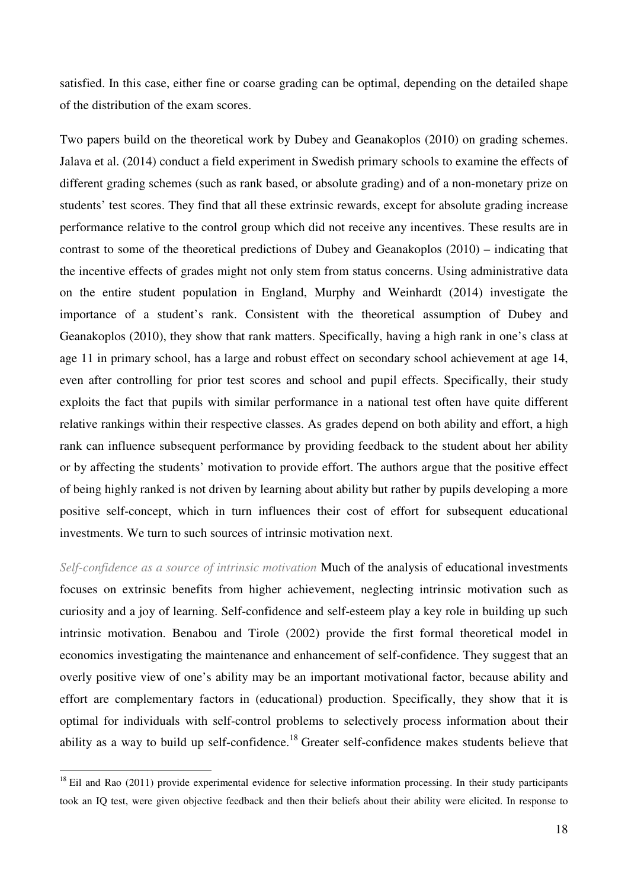satisfied. In this case, either fine or coarse grading can be optimal, depending on the detailed shape of the distribution of the exam scores.

Two papers build on the theoretical work by Dubey and Geanakoplos (2010) on grading schemes. Jalava et al. (2014) conduct a field experiment in Swedish primary schools to examine the effects of different grading schemes (such as rank based, or absolute grading) and of a non-monetary prize on students' test scores. They find that all these extrinsic rewards, except for absolute grading increase performance relative to the control group which did not receive any incentives. These results are in contrast to some of the theoretical predictions of Dubey and Geanakoplos (2010) – indicating that the incentive effects of grades might not only stem from status concerns. Using administrative data on the entire student population in England, Murphy and Weinhardt (2014) investigate the importance of a student's rank. Consistent with the theoretical assumption of Dubey and Geanakoplos (2010), they show that rank matters. Specifically, having a high rank in one's class at age 11 in primary school, has a large and robust effect on secondary school achievement at age 14, even after controlling for prior test scores and school and pupil effects. Specifically, their study exploits the fact that pupils with similar performance in a national test often have quite different relative rankings within their respective classes. As grades depend on both ability and effort, a high rank can influence subsequent performance by providing feedback to the student about her ability or by affecting the students' motivation to provide effort. The authors argue that the positive effect of being highly ranked is not driven by learning about ability but rather by pupils developing a more positive self-concept, which in turn influences their cost of effort for subsequent educational investments. We turn to such sources of intrinsic motivation next.

*Self-confidence as a source of intrinsic motivation* Much of the analysis of educational investments focuses on extrinsic benefits from higher achievement, neglecting intrinsic motivation such as curiosity and a joy of learning. Self-confidence and self-esteem play a key role in building up such intrinsic motivation. Benabou and Tirole (2002) provide the first formal theoretical model in economics investigating the maintenance and enhancement of self-confidence. They suggest that an overly positive view of one's ability may be an important motivational factor, because ability and effort are complementary factors in (educational) production. Specifically, they show that it is optimal for individuals with self-control problems to selectively process information about their ability as a way to build up self-confidence.<sup>18</sup> Greater self-confidence makes students believe that

 $^{18}$  Eil and Rao (2011) provide experimental evidence for selective information processing. In their study participants took an IQ test, were given objective feedback and then their beliefs about their ability were elicited. In response to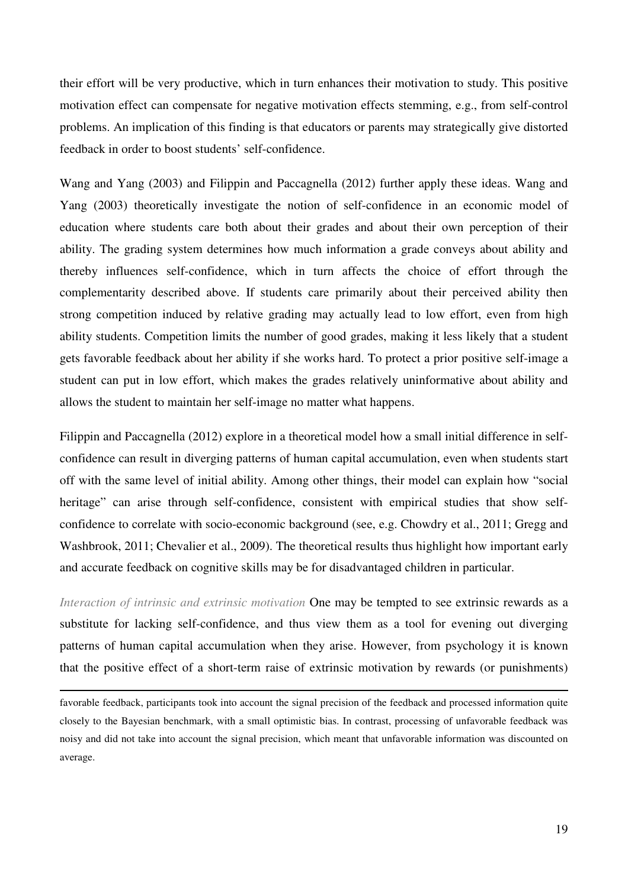their effort will be very productive, which in turn enhances their motivation to study. This positive motivation effect can compensate for negative motivation effects stemming, e.g., from self-control problems. An implication of this finding is that educators or parents may strategically give distorted feedback in order to boost students' self-confidence.

Wang and Yang (2003) and Filippin and Paccagnella (2012) further apply these ideas. Wang and Yang (2003) theoretically investigate the notion of self-confidence in an economic model of education where students care both about their grades and about their own perception of their ability. The grading system determines how much information a grade conveys about ability and thereby influences self-confidence, which in turn affects the choice of effort through the complementarity described above. If students care primarily about their perceived ability then strong competition induced by relative grading may actually lead to low effort, even from high ability students. Competition limits the number of good grades, making it less likely that a student gets favorable feedback about her ability if she works hard. To protect a prior positive self-image a student can put in low effort, which makes the grades relatively uninformative about ability and allows the student to maintain her self-image no matter what happens.

Filippin and Paccagnella (2012) explore in a theoretical model how a small initial difference in selfconfidence can result in diverging patterns of human capital accumulation, even when students start off with the same level of initial ability. Among other things, their model can explain how "social heritage" can arise through self-confidence, consistent with empirical studies that show selfconfidence to correlate with socio-economic background (see, e.g. Chowdry et al., 2011; Gregg and Washbrook, 2011; Chevalier et al., 2009). The theoretical results thus highlight how important early and accurate feedback on cognitive skills may be for disadvantaged children in particular.

*Interaction of intrinsic and extrinsic motivation* One may be tempted to see extrinsic rewards as a substitute for lacking self-confidence, and thus view them as a tool for evening out diverging patterns of human capital accumulation when they arise. However, from psychology it is known that the positive effect of a short-term raise of extrinsic motivation by rewards (or punishments)

favorable feedback, participants took into account the signal precision of the feedback and processed information quite closely to the Bayesian benchmark, with a small optimistic bias. In contrast, processing of unfavorable feedback was noisy and did not take into account the signal precision, which meant that unfavorable information was discounted on average.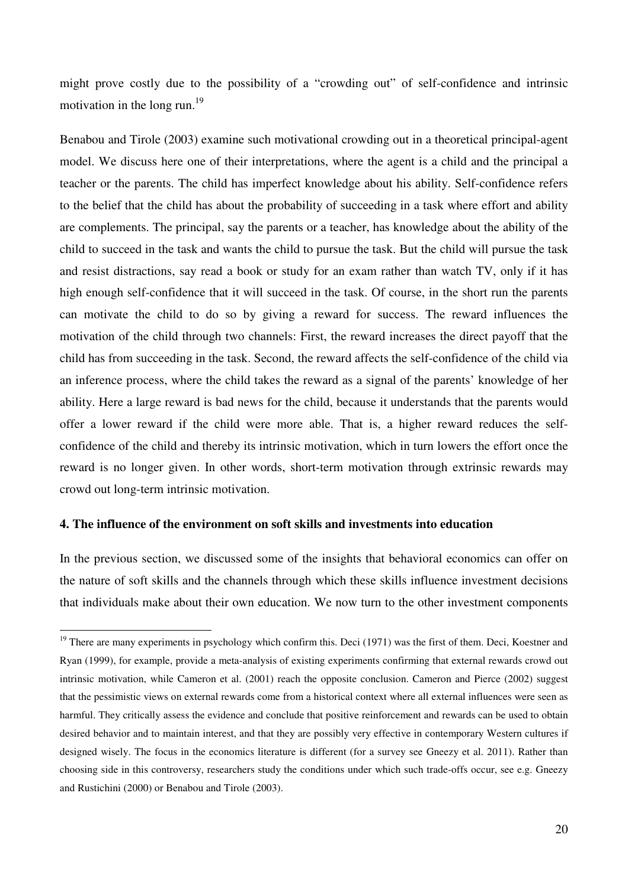might prove costly due to the possibility of a "crowding out" of self-confidence and intrinsic motivation in the long run. $^{19}$ 

Benabou and Tirole (2003) examine such motivational crowding out in a theoretical principal-agent model. We discuss here one of their interpretations, where the agent is a child and the principal a teacher or the parents. The child has imperfect knowledge about his ability. Self-confidence refers to the belief that the child has about the probability of succeeding in a task where effort and ability are complements. The principal, say the parents or a teacher, has knowledge about the ability of the child to succeed in the task and wants the child to pursue the task. But the child will pursue the task and resist distractions, say read a book or study for an exam rather than watch TV, only if it has high enough self-confidence that it will succeed in the task. Of course, in the short run the parents can motivate the child to do so by giving a reward for success. The reward influences the motivation of the child through two channels: First, the reward increases the direct payoff that the child has from succeeding in the task. Second, the reward affects the self-confidence of the child via an inference process, where the child takes the reward as a signal of the parents' knowledge of her ability. Here a large reward is bad news for the child, because it understands that the parents would offer a lower reward if the child were more able. That is, a higher reward reduces the selfconfidence of the child and thereby its intrinsic motivation, which in turn lowers the effort once the reward is no longer given. In other words, short-term motivation through extrinsic rewards may crowd out long-term intrinsic motivation.

#### **4. The influence of the environment on soft skills and investments into education**

 $\overline{a}$ 

In the previous section, we discussed some of the insights that behavioral economics can offer on the nature of soft skills and the channels through which these skills influence investment decisions that individuals make about their own education. We now turn to the other investment components

 $19$  There are many experiments in psychology which confirm this. Deci (1971) was the first of them. Deci, Koestner and Ryan (1999), for example, provide a meta-analysis of existing experiments confirming that external rewards crowd out intrinsic motivation, while Cameron et al. (2001) reach the opposite conclusion. Cameron and Pierce (2002) suggest that the pessimistic views on external rewards come from a historical context where all external influences were seen as harmful. They critically assess the evidence and conclude that positive reinforcement and rewards can be used to obtain desired behavior and to maintain interest, and that they are possibly very effective in contemporary Western cultures if designed wisely. The focus in the economics literature is different (for a survey see Gneezy et al. 2011). Rather than choosing side in this controversy, researchers study the conditions under which such trade-offs occur, see e.g. Gneezy and Rustichini (2000) or Benabou and Tirole (2003).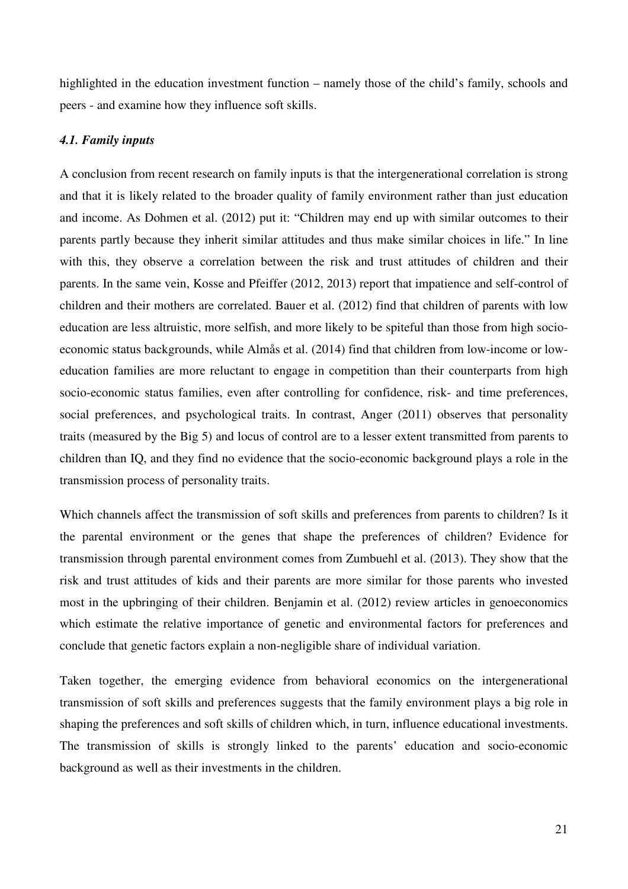highlighted in the education investment function – namely those of the child's family, schools and peers - and examine how they influence soft skills.

#### *4.1. Family inputs*

A conclusion from recent research on family inputs is that the intergenerational correlation is strong and that it is likely related to the broader quality of family environment rather than just education and income. As Dohmen et al. (2012) put it: "Children may end up with similar outcomes to their parents partly because they inherit similar attitudes and thus make similar choices in life." In line with this, they observe a correlation between the risk and trust attitudes of children and their parents. In the same vein, Kosse and Pfeiffer (2012, 2013) report that impatience and self-control of children and their mothers are correlated. Bauer et al. (2012) find that children of parents with low education are less altruistic, more selfish, and more likely to be spiteful than those from high socioeconomic status backgrounds, while Almås et al. (2014) find that children from low-income or loweducation families are more reluctant to engage in competition than their counterparts from high socio-economic status families, even after controlling for confidence, risk- and time preferences, social preferences, and psychological traits. In contrast, Anger (2011) observes that personality traits (measured by the Big 5) and locus of control are to a lesser extent transmitted from parents to children than IQ, and they find no evidence that the socio-economic background plays a role in the transmission process of personality traits.

Which channels affect the transmission of soft skills and preferences from parents to children? Is it the parental environment or the genes that shape the preferences of children? Evidence for transmission through parental environment comes from Zumbuehl et al. (2013). They show that the risk and trust attitudes of kids and their parents are more similar for those parents who invested most in the upbringing of their children. Benjamin et al. (2012) review articles in genoeconomics which estimate the relative importance of genetic and environmental factors for preferences and conclude that genetic factors explain a non-negligible share of individual variation.

Taken together, the emerging evidence from behavioral economics on the intergenerational transmission of soft skills and preferences suggests that the family environment plays a big role in shaping the preferences and soft skills of children which, in turn, influence educational investments. The transmission of skills is strongly linked to the parents' education and socio-economic background as well as their investments in the children.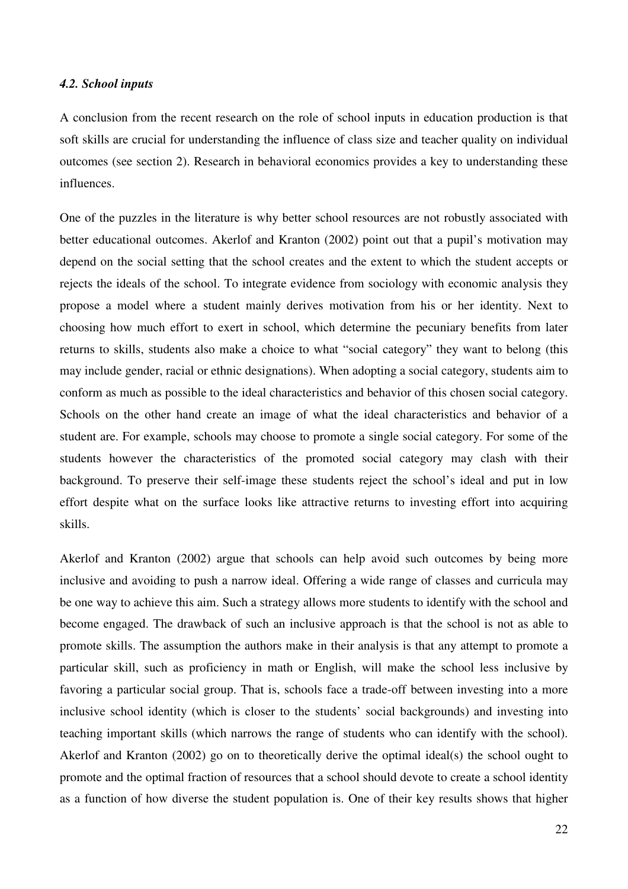#### *4.2. School inputs*

A conclusion from the recent research on the role of school inputs in education production is that soft skills are crucial for understanding the influence of class size and teacher quality on individual outcomes (see section 2). Research in behavioral economics provides a key to understanding these influences.

One of the puzzles in the literature is why better school resources are not robustly associated with better educational outcomes. Akerlof and Kranton (2002) point out that a pupil's motivation may depend on the social setting that the school creates and the extent to which the student accepts or rejects the ideals of the school. To integrate evidence from sociology with economic analysis they propose a model where a student mainly derives motivation from his or her identity. Next to choosing how much effort to exert in school, which determine the pecuniary benefits from later returns to skills, students also make a choice to what "social category" they want to belong (this may include gender, racial or ethnic designations). When adopting a social category, students aim to conform as much as possible to the ideal characteristics and behavior of this chosen social category. Schools on the other hand create an image of what the ideal characteristics and behavior of a student are. For example, schools may choose to promote a single social category. For some of the students however the characteristics of the promoted social category may clash with their background. To preserve their self-image these students reject the school's ideal and put in low effort despite what on the surface looks like attractive returns to investing effort into acquiring skills.

Akerlof and Kranton (2002) argue that schools can help avoid such outcomes by being more inclusive and avoiding to push a narrow ideal. Offering a wide range of classes and curricula may be one way to achieve this aim. Such a strategy allows more students to identify with the school and become engaged. The drawback of such an inclusive approach is that the school is not as able to promote skills. The assumption the authors make in their analysis is that any attempt to promote a particular skill, such as proficiency in math or English, will make the school less inclusive by favoring a particular social group. That is, schools face a trade-off between investing into a more inclusive school identity (which is closer to the students' social backgrounds) and investing into teaching important skills (which narrows the range of students who can identify with the school). Akerlof and Kranton (2002) go on to theoretically derive the optimal ideal(s) the school ought to promote and the optimal fraction of resources that a school should devote to create a school identity as a function of how diverse the student population is. One of their key results shows that higher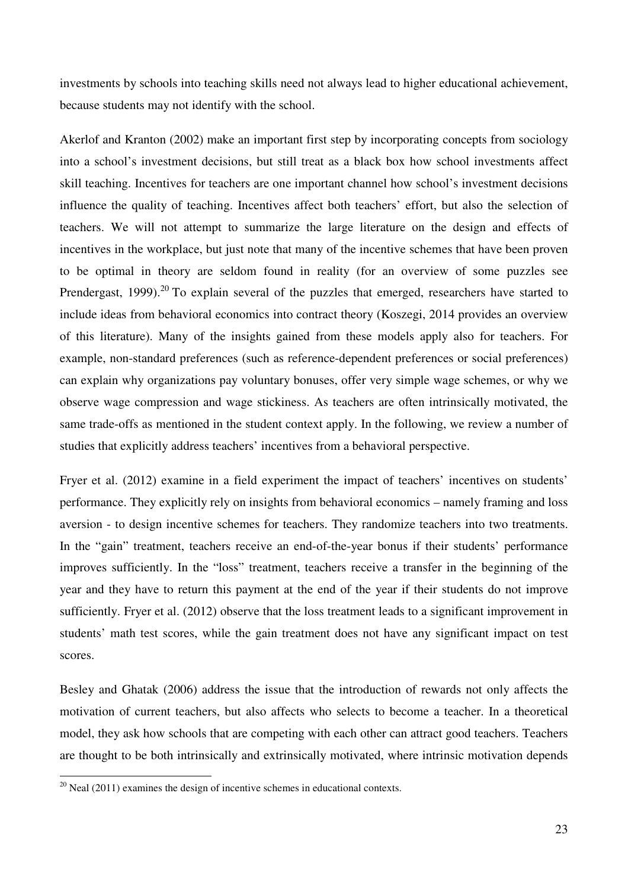investments by schools into teaching skills need not always lead to higher educational achievement, because students may not identify with the school.

Akerlof and Kranton (2002) make an important first step by incorporating concepts from sociology into a school's investment decisions, but still treat as a black box how school investments affect skill teaching. Incentives for teachers are one important channel how school's investment decisions influence the quality of teaching. Incentives affect both teachers' effort, but also the selection of teachers. We will not attempt to summarize the large literature on the design and effects of incentives in the workplace, but just note that many of the incentive schemes that have been proven to be optimal in theory are seldom found in reality (for an overview of some puzzles see Prendergast,  $1999$ ).<sup>20</sup> To explain several of the puzzles that emerged, researchers have started to include ideas from behavioral economics into contract theory (Koszegi, 2014 provides an overview of this literature). Many of the insights gained from these models apply also for teachers. For example, non-standard preferences (such as reference-dependent preferences or social preferences) can explain why organizations pay voluntary bonuses, offer very simple wage schemes, or why we observe wage compression and wage stickiness. As teachers are often intrinsically motivated, the same trade-offs as mentioned in the student context apply. In the following, we review a number of studies that explicitly address teachers' incentives from a behavioral perspective.

Fryer et al. (2012) examine in a field experiment the impact of teachers' incentives on students' performance. They explicitly rely on insights from behavioral economics – namely framing and loss aversion - to design incentive schemes for teachers. They randomize teachers into two treatments. In the "gain" treatment, teachers receive an end-of-the-year bonus if their students' performance improves sufficiently. In the "loss" treatment, teachers receive a transfer in the beginning of the year and they have to return this payment at the end of the year if their students do not improve sufficiently. Fryer et al. (2012) observe that the loss treatment leads to a significant improvement in students' math test scores, while the gain treatment does not have any significant impact on test scores.

Besley and Ghatak (2006) address the issue that the introduction of rewards not only affects the motivation of current teachers, but also affects who selects to become a teacher. In a theoretical model, they ask how schools that are competing with each other can attract good teachers. Teachers are thought to be both intrinsically and extrinsically motivated, where intrinsic motivation depends

 $20$  Neal (2011) examines the design of incentive schemes in educational contexts.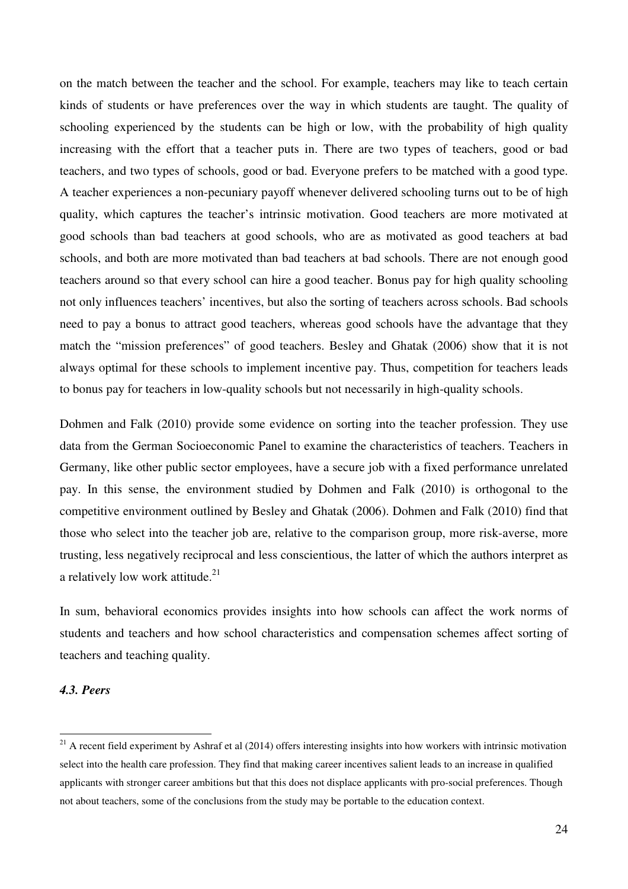on the match between the teacher and the school. For example, teachers may like to teach certain kinds of students or have preferences over the way in which students are taught. The quality of schooling experienced by the students can be high or low, with the probability of high quality increasing with the effort that a teacher puts in. There are two types of teachers, good or bad teachers, and two types of schools, good or bad. Everyone prefers to be matched with a good type. A teacher experiences a non-pecuniary payoff whenever delivered schooling turns out to be of high quality, which captures the teacher's intrinsic motivation. Good teachers are more motivated at good schools than bad teachers at good schools, who are as motivated as good teachers at bad schools, and both are more motivated than bad teachers at bad schools. There are not enough good teachers around so that every school can hire a good teacher. Bonus pay for high quality schooling not only influences teachers' incentives, but also the sorting of teachers across schools. Bad schools need to pay a bonus to attract good teachers, whereas good schools have the advantage that they match the "mission preferences" of good teachers. Besley and Ghatak (2006) show that it is not always optimal for these schools to implement incentive pay. Thus, competition for teachers leads to bonus pay for teachers in low-quality schools but not necessarily in high-quality schools.

Dohmen and Falk (2010) provide some evidence on sorting into the teacher profession. They use data from the German Socioeconomic Panel to examine the characteristics of teachers. Teachers in Germany, like other public sector employees, have a secure job with a fixed performance unrelated pay. In this sense, the environment studied by Dohmen and Falk (2010) is orthogonal to the competitive environment outlined by Besley and Ghatak (2006). Dohmen and Falk (2010) find that those who select into the teacher job are, relative to the comparison group, more risk-averse, more trusting, less negatively reciprocal and less conscientious, the latter of which the authors interpret as a relatively low work attitude. $21$ 

In sum, behavioral economics provides insights into how schools can affect the work norms of students and teachers and how school characteristics and compensation schemes affect sorting of teachers and teaching quality.

#### *4.3. Peers*

 $21$  A recent field experiment by Ashraf et al (2014) offers interesting insights into how workers with intrinsic motivation select into the health care profession. They find that making career incentives salient leads to an increase in qualified applicants with stronger career ambitions but that this does not displace applicants with pro-social preferences. Though not about teachers, some of the conclusions from the study may be portable to the education context.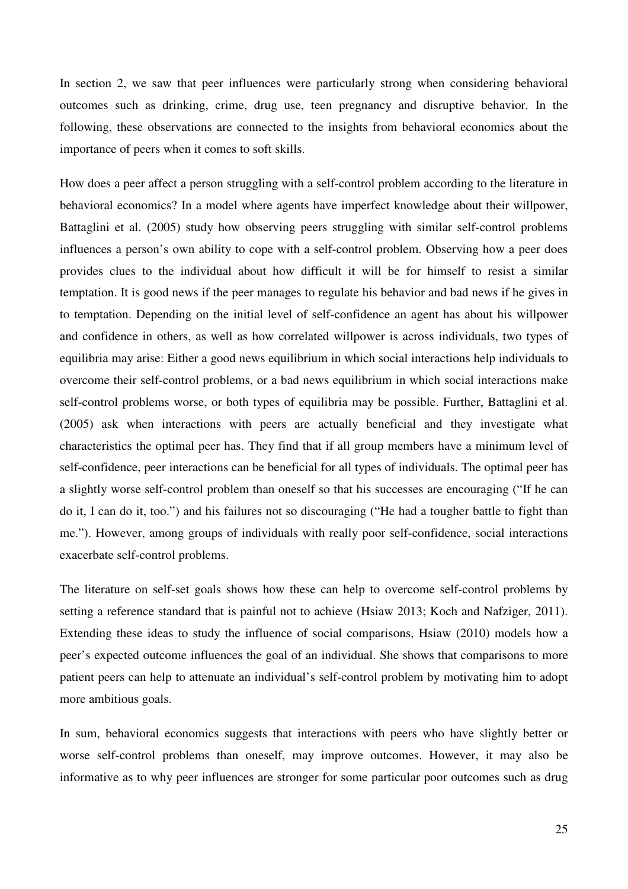In section 2, we saw that peer influences were particularly strong when considering behavioral outcomes such as drinking, crime, drug use, teen pregnancy and disruptive behavior. In the following, these observations are connected to the insights from behavioral economics about the importance of peers when it comes to soft skills.

How does a peer affect a person struggling with a self-control problem according to the literature in behavioral economics? In a model where agents have imperfect knowledge about their willpower, Battaglini et al. (2005) study how observing peers struggling with similar self-control problems influences a person's own ability to cope with a self-control problem. Observing how a peer does provides clues to the individual about how difficult it will be for himself to resist a similar temptation. It is good news if the peer manages to regulate his behavior and bad news if he gives in to temptation. Depending on the initial level of self-confidence an agent has about his willpower and confidence in others, as well as how correlated willpower is across individuals, two types of equilibria may arise: Either a good news equilibrium in which social interactions help individuals to overcome their self-control problems, or a bad news equilibrium in which social interactions make self-control problems worse, or both types of equilibria may be possible. Further, Battaglini et al. (2005) ask when interactions with peers are actually beneficial and they investigate what characteristics the optimal peer has. They find that if all group members have a minimum level of self-confidence, peer interactions can be beneficial for all types of individuals. The optimal peer has a slightly worse self-control problem than oneself so that his successes are encouraging ("If he can do it, I can do it, too.") and his failures not so discouraging ("He had a tougher battle to fight than me."). However, among groups of individuals with really poor self-confidence, social interactions exacerbate self-control problems.

The literature on self-set goals shows how these can help to overcome self-control problems by setting a reference standard that is painful not to achieve (Hsiaw 2013; Koch and Nafziger, 2011). Extending these ideas to study the influence of social comparisons, Hsiaw (2010) models how a peer's expected outcome influences the goal of an individual. She shows that comparisons to more patient peers can help to attenuate an individual's self-control problem by motivating him to adopt more ambitious goals.

In sum, behavioral economics suggests that interactions with peers who have slightly better or worse self-control problems than oneself, may improve outcomes. However, it may also be informative as to why peer influences are stronger for some particular poor outcomes such as drug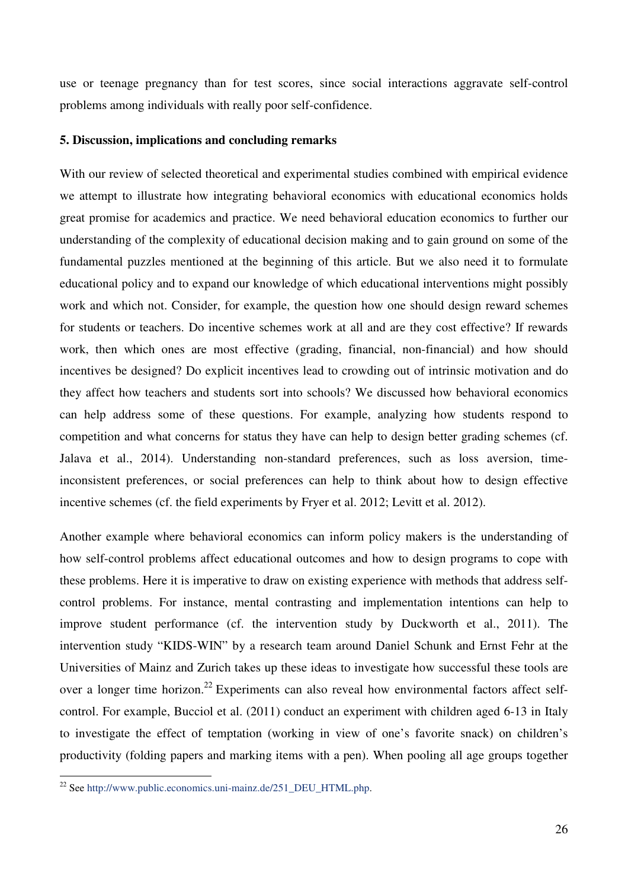use or teenage pregnancy than for test scores, since social interactions aggravate self-control problems among individuals with really poor self-confidence.

#### **5. Discussion, implications and concluding remarks**

With our review of selected theoretical and experimental studies combined with empirical evidence we attempt to illustrate how integrating behavioral economics with educational economics holds great promise for academics and practice. We need behavioral education economics to further our understanding of the complexity of educational decision making and to gain ground on some of the fundamental puzzles mentioned at the beginning of this article. But we also need it to formulate educational policy and to expand our knowledge of which educational interventions might possibly work and which not. Consider, for example, the question how one should design reward schemes for students or teachers. Do incentive schemes work at all and are they cost effective? If rewards work, then which ones are most effective (grading, financial, non-financial) and how should incentives be designed? Do explicit incentives lead to crowding out of intrinsic motivation and do they affect how teachers and students sort into schools? We discussed how behavioral economics can help address some of these questions. For example, analyzing how students respond to competition and what concerns for status they have can help to design better grading schemes (cf. Jalava et al., 2014). Understanding non-standard preferences, such as loss aversion, timeinconsistent preferences, or social preferences can help to think about how to design effective incentive schemes (cf. the field experiments by Fryer et al. 2012; Levitt et al. 2012).

Another example where behavioral economics can inform policy makers is the understanding of how self-control problems affect educational outcomes and how to design programs to cope with these problems. Here it is imperative to draw on existing experience with methods that address selfcontrol problems. For instance, mental contrasting and implementation intentions can help to improve student performance (cf. the intervention study by Duckworth et al., 2011). The intervention study "KIDS-WIN" by a research team around Daniel Schunk and Ernst Fehr at the Universities of Mainz and Zurich takes up these ideas to investigate how successful these tools are over a longer time horizon.<sup>22</sup> Experiments can also reveal how environmental factors affect selfcontrol. For example, Bucciol et al. (2011) conduct an experiment with children aged 6-13 in Italy to investigate the effect of temptation (working in view of one's favorite snack) on children's productivity (folding papers and marking items with a pen). When pooling all age groups together

 $^{22}$  See http://www.public.economics.uni-mainz.de/251\_DEU\_HTML.php.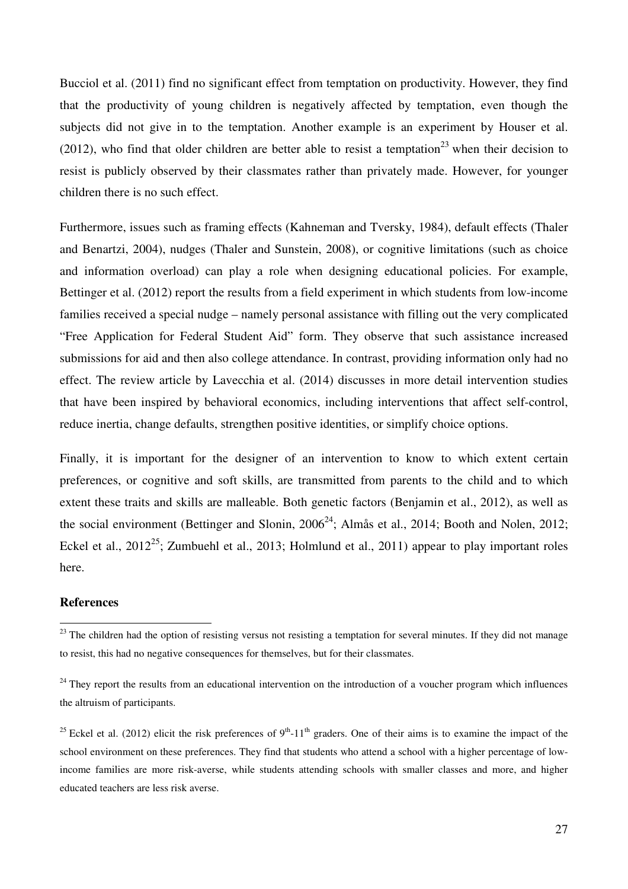Bucciol et al. (2011) find no significant effect from temptation on productivity. However, they find that the productivity of young children is negatively affected by temptation, even though the subjects did not give in to the temptation. Another example is an experiment by Houser et al. (2012), who find that older children are better able to resist a temptation<sup>23</sup> when their decision to resist is publicly observed by their classmates rather than privately made. However, for younger children there is no such effect.

Furthermore, issues such as framing effects (Kahneman and Tversky, 1984), default effects (Thaler and Benartzi, 2004), nudges (Thaler and Sunstein, 2008), or cognitive limitations (such as choice and information overload) can play a role when designing educational policies. For example, Bettinger et al. (2012) report the results from a field experiment in which students from low-income families received a special nudge – namely personal assistance with filling out the very complicated "Free Application for Federal Student Aid" form. They observe that such assistance increased submissions for aid and then also college attendance. In contrast, providing information only had no effect. The review article by Lavecchia et al. (2014) discusses in more detail intervention studies that have been inspired by behavioral economics, including interventions that affect self-control, reduce inertia, change defaults, strengthen positive identities, or simplify choice options.

Finally, it is important for the designer of an intervention to know to which extent certain preferences, or cognitive and soft skills, are transmitted from parents to the child and to which extent these traits and skills are malleable. Both genetic factors (Benjamin et al., 2012), as well as the social environment (Bettinger and Slonin,  $2006^{24}$ ; Almås et al., 2014; Booth and Nolen, 2012; Eckel et al., 2012<sup>25</sup>; Zumbuehl et al., 2013; Holmlund et al., 2011) appear to play important roles here.

#### **References**

 $23$  The children had the option of resisting versus not resisting a temptation for several minutes. If they did not manage to resist, this had no negative consequences for themselves, but for their classmates.

 $^{24}$  They report the results from an educational intervention on the introduction of a voucher program which influences the altruism of participants.

<sup>&</sup>lt;sup>25</sup> Eckel et al. (2012) elicit the risk preferences of  $9<sup>th</sup>$ -11<sup>th</sup> graders. One of their aims is to examine the impact of the school environment on these preferences. They find that students who attend a school with a higher percentage of lowincome families are more risk-averse, while students attending schools with smaller classes and more, and higher educated teachers are less risk averse.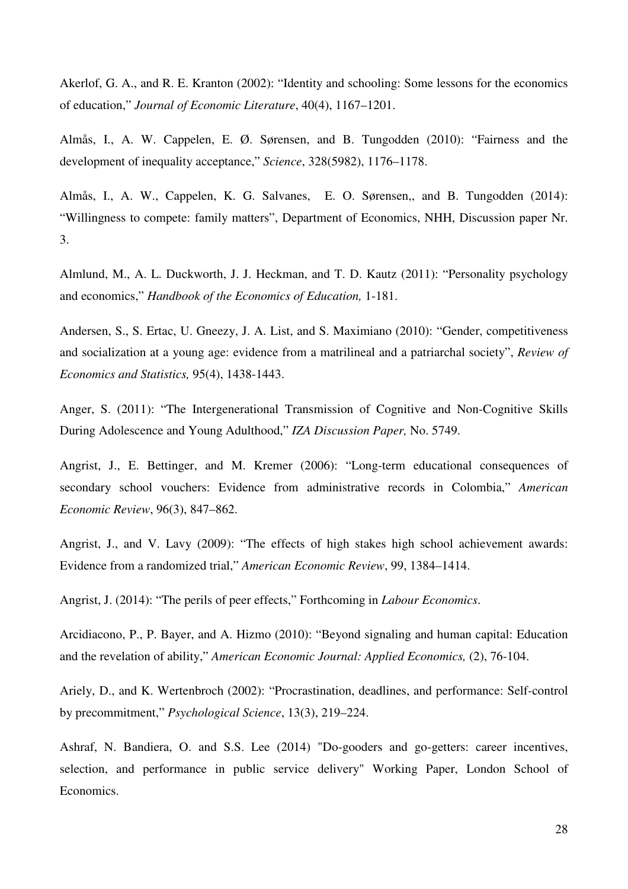Akerlof, G. A., and R. E. Kranton (2002): "Identity and schooling: Some lessons for the economics of education," *Journal of Economic Literature*, 40(4), 1167–1201.

Almås, I., A. W. Cappelen, E. Ø. Sørensen, and B. Tungodden (2010): "Fairness and the development of inequality acceptance," *Science*, 328(5982), 1176–1178.

Almås, I., A. W., Cappelen, K. G. Salvanes, E. O. Sørensen,, and B. Tungodden (2014): "Willingness to compete: family matters", Department of Economics, NHH, Discussion paper Nr. 3.

Almlund, M., A. L. Duckworth, J. J. Heckman, and T. D. Kautz (2011): "Personality psychology and economics," *Handbook of the Economics of Education,* 1-181.

Andersen, S., S. Ertac, U. Gneezy, J. A. List, and S. Maximiano (2010): "Gender, competitiveness and socialization at a young age: evidence from a matrilineal and a patriarchal society", *Review of Economics and Statistics,* 95(4), 1438-1443.

Anger, S. (2011): "The Intergenerational Transmission of Cognitive and Non-Cognitive Skills During Adolescence and Young Adulthood," *IZA Discussion Paper,* No. 5749.

Angrist, J., E. Bettinger, and M. Kremer (2006): "Long-term educational consequences of secondary school vouchers: Evidence from administrative records in Colombia," *American Economic Review*, 96(3), 847–862.

Angrist, J., and V. Lavy (2009): "The effects of high stakes high school achievement awards: Evidence from a randomized trial," *American Economic Review*, 99, 1384–1414.

Angrist, J. (2014): "The perils of peer effects," Forthcoming in *Labour Economics*.

Arcidiacono, P., P. Bayer, and A. Hizmo (2010): "Beyond signaling and human capital: Education and the revelation of ability," *American Economic Journal: Applied Economics,* (2), 76-104.

Ariely, D., and K. Wertenbroch (2002): "Procrastination, deadlines, and performance: Self-control by precommitment," *Psychological Science*, 13(3), 219–224.

Ashraf, N. Bandiera, O. and S.S. Lee (2014) "Do-gooders and go-getters: career incentives, selection, and performance in public service delivery" Working Paper, London School of Economics.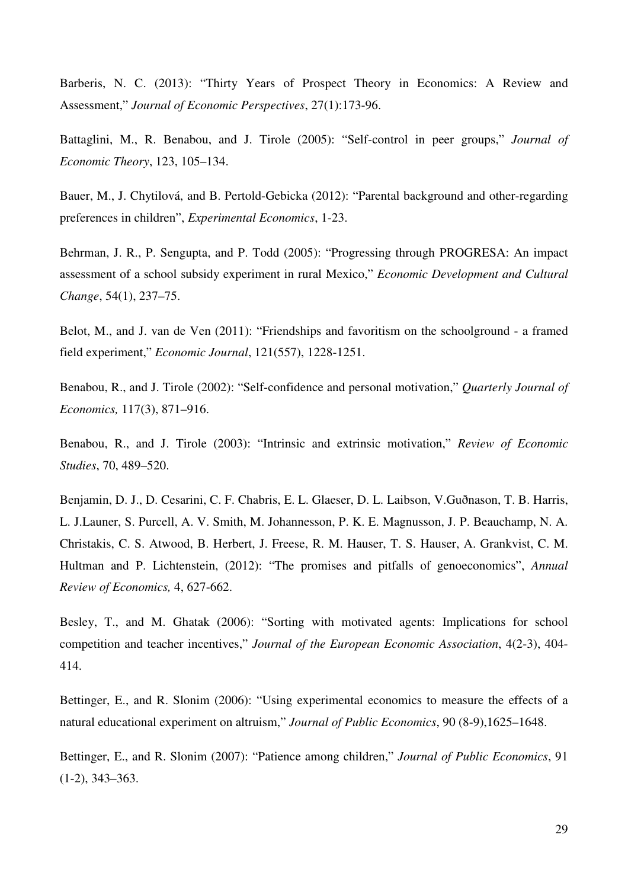Barberis, N. C. (2013): "Thirty Years of Prospect Theory in Economics: A Review and Assessment," *Journal of Economic Perspectives*, 27(1):173-96.

Battaglini, M., R. Benabou, and J. Tirole (2005): "Self-control in peer groups," *Journal of Economic Theory*, 123, 105–134.

Bauer, M., J. Chytilová, and B. Pertold-Gebicka (2012): "Parental background and other-regarding preferences in children", *Experimental Economics*, 1-23.

Behrman, J. R., P. Sengupta, and P. Todd (2005): "Progressing through PROGRESA: An impact assessment of a school subsidy experiment in rural Mexico," *Economic Development and Cultural Change*, 54(1), 237–75.

Belot, M., and J. van de Ven (2011): "Friendships and favoritism on the schoolground - a framed field experiment," *Economic Journal*, 121(557), 1228-1251.

Benabou, R., and J. Tirole (2002): "Self-confidence and personal motivation," *Quarterly Journal of Economics,* 117(3), 871–916.

Benabou, R., and J. Tirole (2003): "Intrinsic and extrinsic motivation," *Review of Economic Studies*, 70, 489–520.

Benjamin, D. J., D. Cesarini, C. F. Chabris, E. L. Glaeser, D. L. Laibson, V.Guðnason, T. B. Harris, L. J.Launer, S. Purcell, A. V. Smith, M. Johannesson, P. K. E. Magnusson, J. P. Beauchamp, N. A. Christakis, C. S. Atwood, B. Herbert, J. Freese, R. M. Hauser, T. S. Hauser, A. Grankvist, C. M. Hultman and P. Lichtenstein, (2012): "The promises and pitfalls of genoeconomics", *Annual Review of Economics,* 4, 627-662.

Besley, T., and M. Ghatak (2006): "Sorting with motivated agents: Implications for school competition and teacher incentives," *Journal of the European Economic Association*, 4(2-3), 404- 414.

Bettinger, E., and R. Slonim (2006): "Using experimental economics to measure the effects of a natural educational experiment on altruism," *Journal of Public Economics*, 90 (8-9),1625–1648.

Bettinger, E., and R. Slonim (2007): "Patience among children," *Journal of Public Economics*, 91 (1-2), 343–363.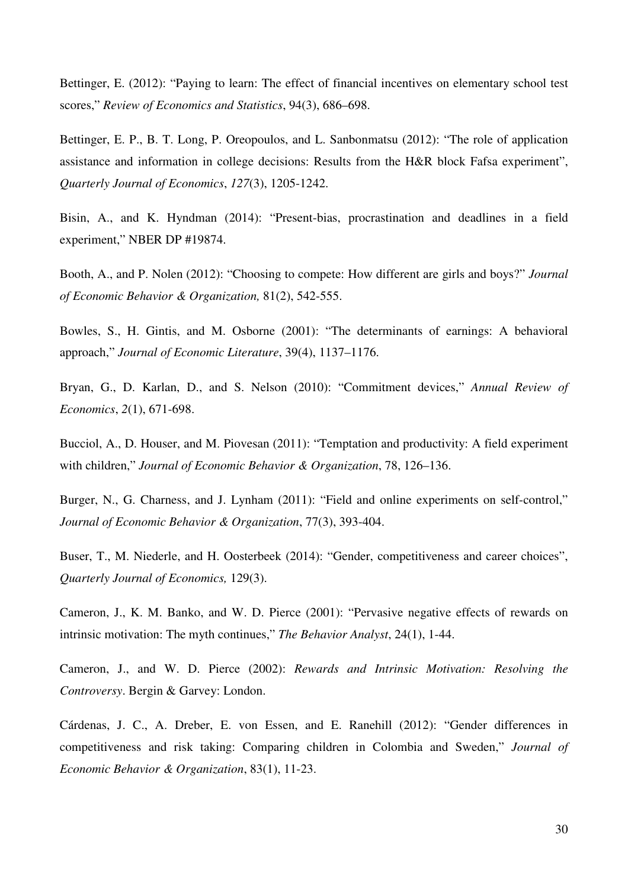Bettinger, E. (2012): "Paying to learn: The effect of financial incentives on elementary school test scores," *Review of Economics and Statistics*, 94(3), 686–698.

Bettinger, E. P., B. T. Long, P. Oreopoulos, and L. Sanbonmatsu (2012): "The role of application assistance and information in college decisions: Results from the H&R block Fafsa experiment", *Quarterly Journal of Economics*, *127*(3), 1205-1242.

Bisin, A., and K. Hyndman (2014): "Present-bias, procrastination and deadlines in a field experiment," NBER DP #19874.

Booth, A., and P. Nolen (2012): "Choosing to compete: How different are girls and boys?" *Journal of Economic Behavior & Organization,* 81(2), 542-555.

Bowles, S., H. Gintis, and M. Osborne (2001): "The determinants of earnings: A behavioral approach," *Journal of Economic Literature*, 39(4), 1137–1176.

Bryan, G., D. Karlan, D., and S. Nelson (2010): "Commitment devices," *Annual Review of Economics*, *2*(1), 671-698.

Bucciol, A., D. Houser, and M. Piovesan (2011): "Temptation and productivity: A field experiment with children," *Journal of Economic Behavior & Organization*, 78, 126–136.

Burger, N., G. Charness, and J. Lynham (2011): "Field and online experiments on self-control," *Journal of Economic Behavior & Organization*, 77(3), 393-404.

Buser, T., M. Niederle, and H. Oosterbeek (2014): "Gender, competitiveness and career choices", *Quarterly Journal of Economics,* 129(3).

Cameron, J., K. M. Banko, and W. D. Pierce (2001): "Pervasive negative effects of rewards on intrinsic motivation: The myth continues," *The Behavior Analyst*, 24(1), 1-44.

Cameron, J., and W. D. Pierce (2002): *Rewards and Intrinsic Motivation: Resolving the Controversy*. Bergin & Garvey: London.

Cárdenas, J. C., A. Dreber, E. von Essen, and E. Ranehill (2012): "Gender differences in competitiveness and risk taking: Comparing children in Colombia and Sweden," *Journal of Economic Behavior & Organization*, 83(1), 11-23.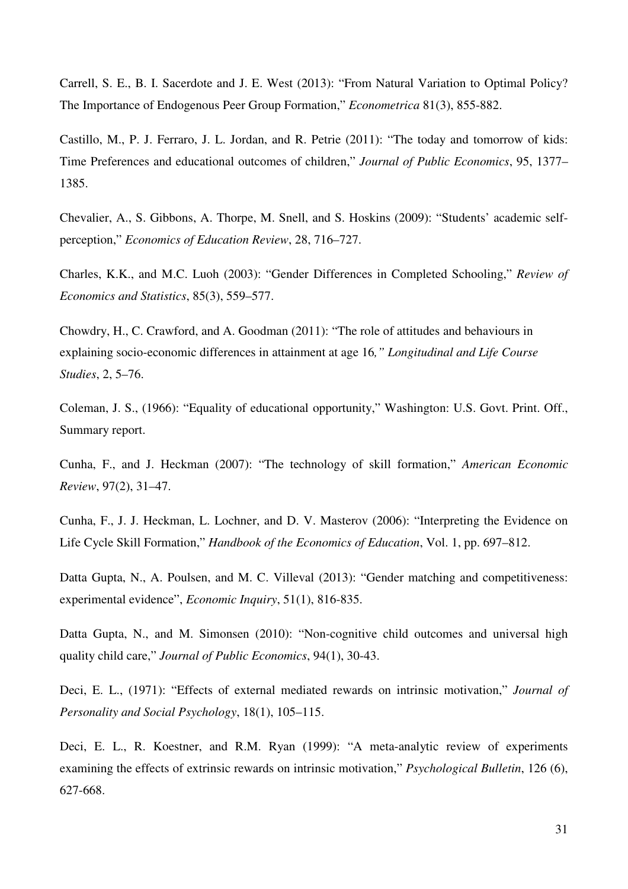Carrell, S. E., B. I. Sacerdote and J. E. West (2013): "From Natural Variation to Optimal Policy? The Importance of Endogenous Peer Group Formation," *Econometrica* 81(3), 855-882.

Castillo, M., P. J. Ferraro, J. L. Jordan, and R. Petrie (2011): "The today and tomorrow of kids: Time Preferences and educational outcomes of children," *Journal of Public Economics*, 95, 1377– 1385.

Chevalier, A., S. Gibbons, A. Thorpe, M. Snell, and S. Hoskins (2009): "Students' academic selfperception," *Economics of Education Review*, 28, 716–727.

Charles, K.K., and M.C. Luoh (2003): "Gender Differences in Completed Schooling," *Review of Economics and Statistics*, 85(3), 559–577.

Chowdry, H., C. Crawford, and A. Goodman (2011): "The role of attitudes and behaviours in explaining socio-economic differences in attainment at age 16*," Longitudinal and Life Course Studies*, 2, 5–76.

Coleman, J. S., (1966): "Equality of educational opportunity," Washington: U.S. Govt. Print. Off., Summary report.

Cunha, F., and J. Heckman (2007): "The technology of skill formation," *American Economic Review*, 97(2), 31–47.

Cunha, F., J. J. Heckman, L. Lochner, and D. V. Masterov (2006): "Interpreting the Evidence on Life Cycle Skill Formation," *Handbook of the Economics of Education*, Vol. 1, pp. 697–812.

Datta Gupta, N., A. Poulsen, and M. C. Villeval (2013): "Gender matching and competitiveness: experimental evidence", *Economic Inquiry*, 51(1), 816-835.

Datta Gupta, N., and M. Simonsen (2010): "Non-cognitive child outcomes and universal high quality child care," *Journal of Public Economics*, 94(1), 30-43.

Deci, E. L., (1971): "Effects of external mediated rewards on intrinsic motivation," *Journal of Personality and Social Psychology*, 18(1), 105–115.

Deci, E. L., R. Koestner, and R.M. Ryan (1999): "A meta-analytic review of experiments examining the effects of extrinsic rewards on intrinsic motivation," *Psychological Bulletin*, 126 (6), 627-668.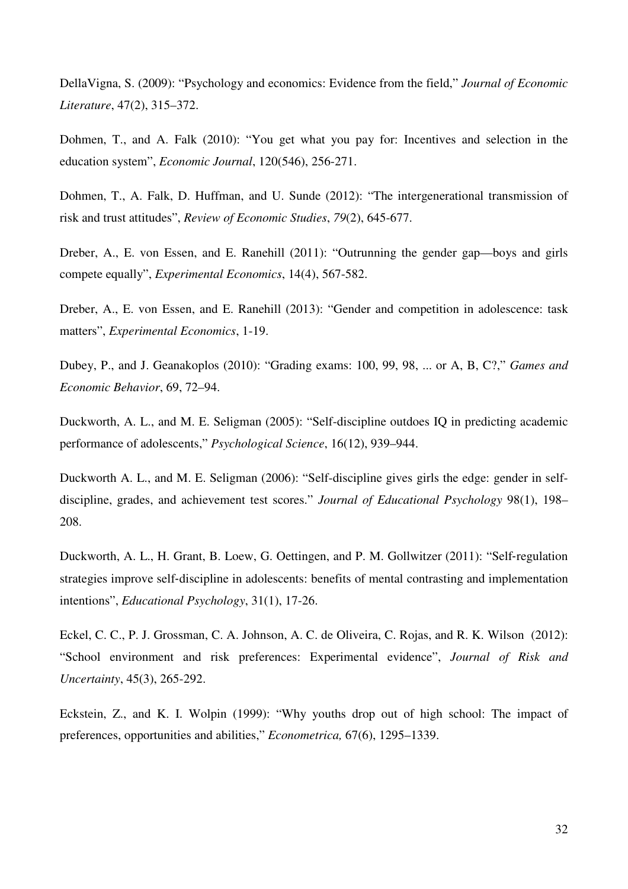DellaVigna, S. (2009): "Psychology and economics: Evidence from the field," *Journal of Economic Literature*, 47(2), 315–372.

Dohmen, T., and A. Falk (2010): "You get what you pay for: Incentives and selection in the education system", *Economic Journal*, 120(546), 256-271.

Dohmen, T., A. Falk, D. Huffman, and U. Sunde (2012): "The intergenerational transmission of risk and trust attitudes", *Review of Economic Studies*, *79*(2), 645-677.

Dreber, A., E. von Essen, and E. Ranehill (2011): "Outrunning the gender gap—boys and girls compete equally", *Experimental Economics*, 14(4), 567-582.

Dreber, A., E. von Essen, and E. Ranehill (2013): "Gender and competition in adolescence: task matters", *Experimental Economics*, 1-19.

Dubey, P., and J. Geanakoplos (2010): "Grading exams: 100, 99, 98, ... or A, B, C?," *Games and Economic Behavior*, 69, 72–94.

Duckworth, A. L., and M. E. Seligman (2005): "Self-discipline outdoes IQ in predicting academic performance of adolescents," *Psychological Science*, 16(12), 939–944.

Duckworth A. L., and M. E. Seligman (2006): "Self-discipline gives girls the edge: gender in selfdiscipline, grades, and achievement test scores." *Journal of Educational Psychology* 98(1), 198– 208.

Duckworth, A. L., H. Grant, B. Loew, G. Oettingen, and P. M. Gollwitzer (2011): "Self-regulation strategies improve self‐discipline in adolescents: benefits of mental contrasting and implementation intentions", *Educational Psychology*, 31(1), 17-26.

Eckel, C. C., P. J. Grossman, C. A. Johnson, A. C. de Oliveira, C. Rojas, and R. K. Wilson (2012): "School environment and risk preferences: Experimental evidence", *Journal of Risk and Uncertainty*, 45(3), 265-292.

Eckstein, Z., and K. I. Wolpin (1999): "Why youths drop out of high school: The impact of preferences, opportunities and abilities," *Econometrica,* 67(6), 1295–1339.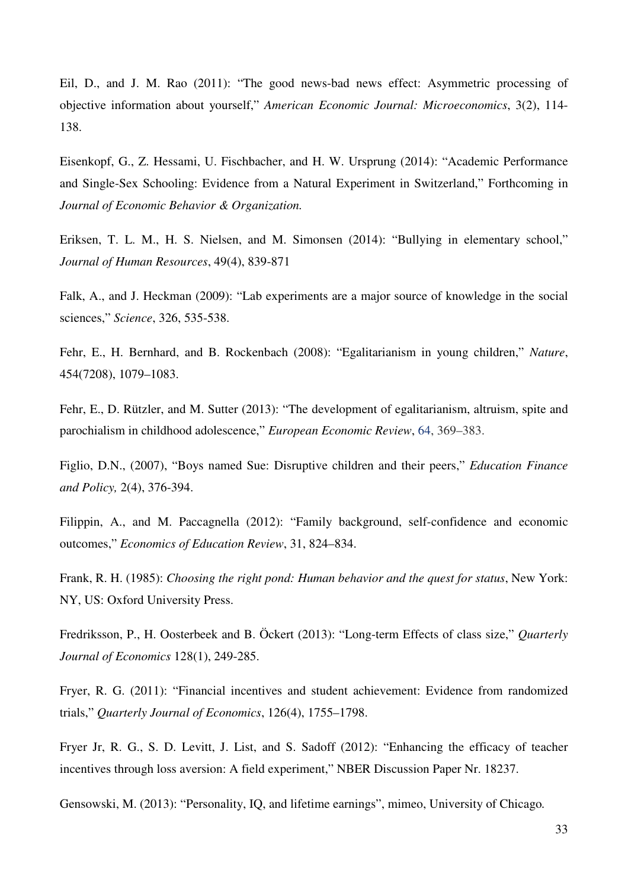Eil, D., and J. M. Rao (2011): "The good news-bad news effect: Asymmetric processing of objective information about yourself," *American Economic Journal: Microeconomics*, 3(2), 114- 138.

Eisenkopf, G., Z. Hessami, U. Fischbacher, and H. W. Ursprung (2014): "Academic Performance and Single-Sex Schooling: Evidence from a Natural Experiment in Switzerland," Forthcoming in *Journal of Economic Behavior & Organization.*

Eriksen, T. L. M., H. S. Nielsen, and M. Simonsen (2014): "Bullying in elementary school," *Journal of Human Resources*, 49(4), 839-871

Falk, A., and J. Heckman (2009): "Lab experiments are a major source of knowledge in the social sciences," *Science*, 326, 535-538.

Fehr, E., H. Bernhard, and B. Rockenbach (2008): "Egalitarianism in young children," *Nature*, 454(7208), 1079–1083.

Fehr, E., D. Rützler, and M. Sutter (2013): "The development of egalitarianism, altruism, spite and parochialism in childhood adolescence," *European Economic Review*, 64, 369–383.

Figlio, D.N., (2007), "Boys named Sue: Disruptive children and their peers," *Education Finance and Policy,* 2(4), 376-394.

Filippin, A., and M. Paccagnella (2012): "Family background, self-confidence and economic outcomes," *Economics of Education Review*, 31, 824–834.

Frank, R. H. (1985): *Choosing the right pond: Human behavior and the quest for status*, New York: NY, US: Oxford University Press.

Fredriksson, P., H. Oosterbeek and B. Öckert (2013): "Long-term Effects of class size," *Quarterly Journal of Economics* 128(1), 249-285.

Fryer, R. G. (2011): "Financial incentives and student achievement: Evidence from randomized trials," *Quarterly Journal of Economics*, 126(4), 1755–1798.

Fryer Jr, R. G., S. D. Levitt, J. List, and S. Sadoff (2012): "Enhancing the efficacy of teacher incentives through loss aversion: A field experiment," NBER Discussion Paper Nr. 18237.

Gensowski, M. (2013): "Personality, IQ, and lifetime earnings", mimeo, University of Chicago*.*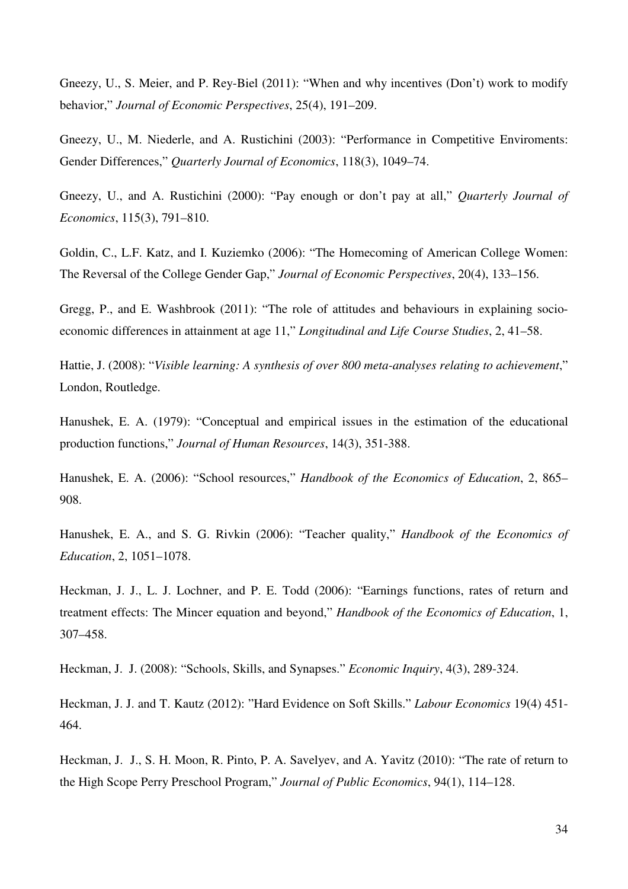Gneezy, U., S. Meier, and P. Rey-Biel (2011): "When and why incentives (Don't) work to modify behavior," *Journal of Economic Perspectives*, 25(4), 191–209.

Gneezy, U., M. Niederle, and A. Rustichini (2003): "Performance in Competitive Enviroments: Gender Differences," *Quarterly Journal of Economics*, 118(3), 1049–74.

Gneezy, U., and A. Rustichini (2000): "Pay enough or don't pay at all," *Quarterly Journal of Economics*, 115(3), 791–810.

Goldin, C., L.F. Katz, and I. Kuziemko (2006): "The Homecoming of American College Women: The Reversal of the College Gender Gap," *Journal of Economic Perspectives*, 20(4), 133–156.

Gregg, P., and E. Washbrook (2011): "The role of attitudes and behaviours in explaining socioeconomic differences in attainment at age 11," *Longitudinal and Life Course Studies*, 2, 41–58.

Hattie, J. (2008): "*Visible learning: A synthesis of over 800 meta-analyses relating to achievement*," London, Routledge.

Hanushek, E. A. (1979): "Conceptual and empirical issues in the estimation of the educational production functions," *Journal of Human Resources*, 14(3), 351-388.

Hanushek, E. A. (2006): "School resources," *Handbook of the Economics of Education*, 2, 865– 908.

Hanushek, E. A., and S. G. Rivkin (2006): "Teacher quality," *Handbook of the Economics of Education*, 2, 1051–1078.

Heckman, J. J., L. J. Lochner, and P. E. Todd (2006): "Earnings functions, rates of return and treatment effects: The Mincer equation and beyond," *Handbook of the Economics of Education*, 1, 307–458.

Heckman, J. J. (2008): "Schools, Skills, and Synapses." *Economic Inquiry*, 4(3), 289-324.

Heckman, J. J. and T. Kautz (2012): "Hard Evidence on Soft Skills." *Labour Economics* 19(4) 451- 464.

Heckman, J. J., S. H. Moon, R. Pinto, P. A. Savelyev, and A. Yavitz (2010): "The rate of return to the High Scope Perry Preschool Program," *Journal of Public Economics*, 94(1), 114–128.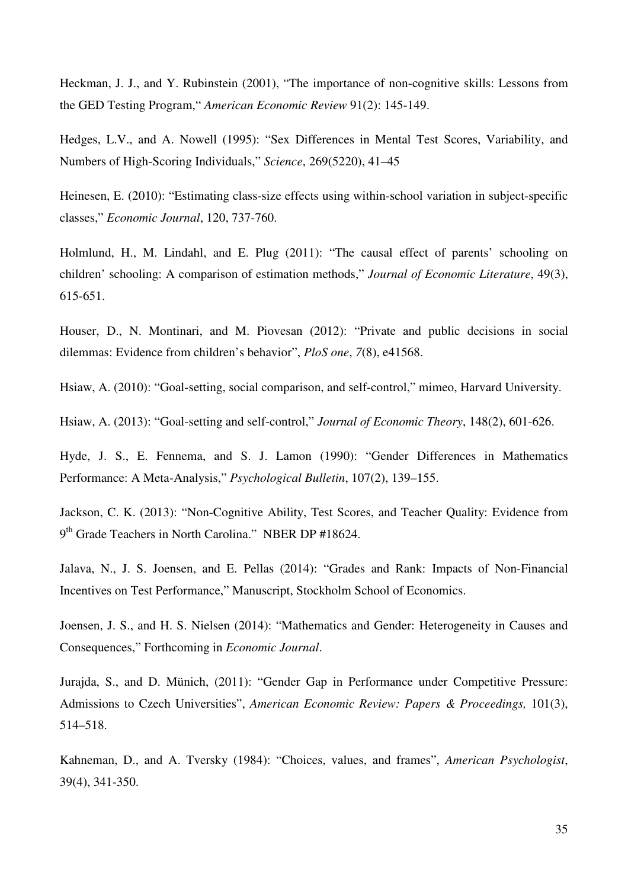Heckman, J. J., and Y. Rubinstein (2001), "The importance of non-cognitive skills: Lessons from the GED Testing Program," *American Economic Review* 91(2): 145-149.

Hedges, L.V., and A. Nowell (1995): "Sex Differences in Mental Test Scores, Variability, and Numbers of High-Scoring Individuals," *Science*, 269(5220), 41–45

Heinesen, E. (2010): "Estimating class-size effects using within-school variation in subject-specific classes," *Economic Journal*, 120, 737-760.

Holmlund, H., M. Lindahl, and E. Plug (2011): "The causal effect of parents' schooling on children' schooling: A comparison of estimation methods," *Journal of Economic Literature*, 49(3), 615-651.

Houser, D., N. Montinari, and M. Piovesan (2012): "Private and public decisions in social dilemmas: Evidence from children's behavior", *PloS one*, *7*(8), e41568.

Hsiaw, A. (2010): "Goal-setting, social comparison, and self-control," mimeo, Harvard University.

Hsiaw, A. (2013): "Goal-setting and self-control," *Journal of Economic Theory*, 148(2), 601-626.

Hyde, J. S., E. Fennema, and S. J. Lamon (1990): "Gender Differences in Mathematics Performance: A Meta-Analysis," *Psychological Bulletin*, 107(2), 139–155.

Jackson, C. K. (2013): "Non-Cognitive Ability, Test Scores, and Teacher Quality: Evidence from 9<sup>th</sup> Grade Teachers in North Carolina." NBER DP #18624.

Jalava, N., J. S. Joensen, and E. Pellas (2014): "Grades and Rank: Impacts of Non-Financial Incentives on Test Performance," Manuscript, Stockholm School of Economics.

Joensen, J. S., and H. S. Nielsen (2014): "Mathematics and Gender: Heterogeneity in Causes and Consequences," Forthcoming in *Economic Journal*.

Jurajda, S., and D. Münich, (2011): "Gender Gap in Performance under Competitive Pressure: Admissions to Czech Universities", *American Economic Review: Papers & Proceedings,* 101(3), 514–518.

Kahneman, D., and A. Tversky (1984): "Choices, values, and frames", *American Psychologist*, 39(4), 341-350.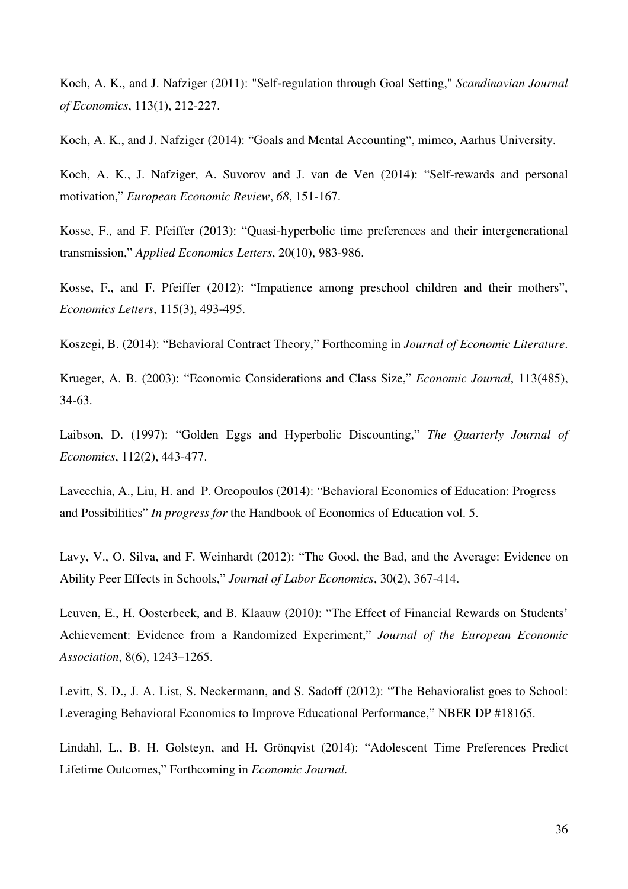Koch, A. K., and J. Nafziger (2011): "Self‐regulation through Goal Setting," *Scandinavian Journal of Economics*, 113(1), 212-227.

Koch, A. K., and J. Nafziger (2014): "Goals and Mental Accounting", mimeo, Aarhus University.

Koch, A. K., J. Nafziger, A. Suvorov and J. van de Ven (2014): "Self-rewards and personal motivation," *European Economic Review*, *68*, 151-167.

Kosse, F., and F. Pfeiffer (2013): "Quasi-hyperbolic time preferences and their intergenerational transmission," *Applied Economics Letters*, 20(10), 983-986.

Kosse, F., and F. Pfeiffer (2012): "Impatience among preschool children and their mothers", *Economics Letters*, 115(3), 493-495.

Koszegi, B. (2014): "Behavioral Contract Theory," Forthcoming in *Journal of Economic Literature*.

Krueger, A. B. (2003): "Economic Considerations and Class Size," *Economic Journal*, 113(485), 34-63.

Laibson, D. (1997): "Golden Eggs and Hyperbolic Discounting," *The Quarterly Journal of Economics*, 112(2), 443-477.

Lavecchia, A., Liu, H. and P. Oreopoulos (2014): "Behavioral Economics of Education: Progress and Possibilities" *In progress for* the Handbook of Economics of Education vol. 5.

Lavy, V., O. Silva, and F. Weinhardt (2012): "The Good, the Bad, and the Average: Evidence on Ability Peer Effects in Schools," *Journal of Labor Economics*, 30(2), 367-414.

Leuven, E., H. Oosterbeek, and B. Klaauw (2010): "The Effect of Financial Rewards on Students' Achievement: Evidence from a Randomized Experiment," *Journal of the European Economic Association*, 8(6), 1243–1265.

Levitt, S. D., J. A. List, S. Neckermann, and S. Sadoff (2012): "The Behavioralist goes to School: Leveraging Behavioral Economics to Improve Educational Performance," NBER DP #18165.

Lindahl, L., B. H. Golsteyn, and H. Grönqvist (2014): "Adolescent Time Preferences Predict Lifetime Outcomes," Forthcoming in *Economic Journal.*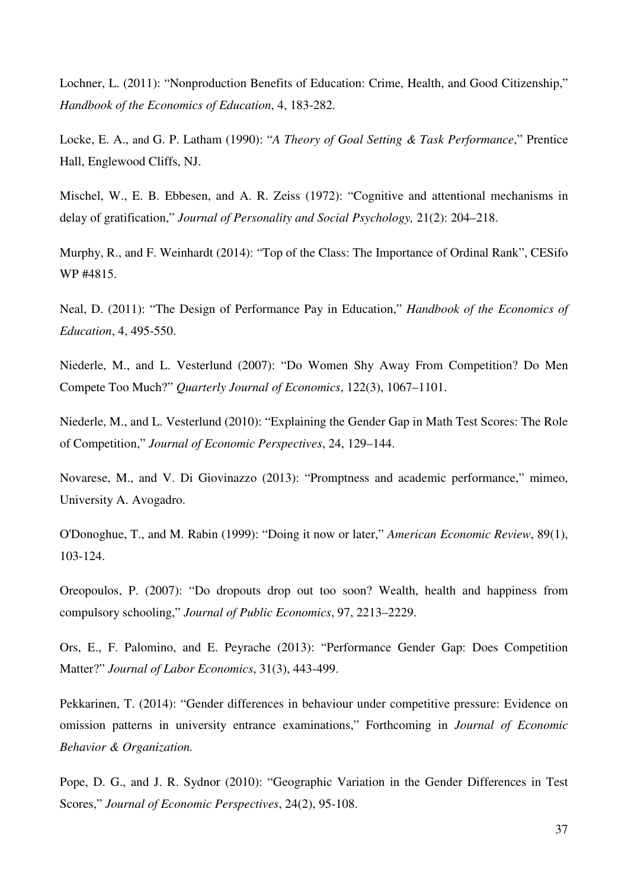Lochner, L. (2011): "Nonproduction Benefits of Education: Crime, Health, and Good Citizenship," *Handbook of the Economics of Education*, 4, 183-282.

Locke, E. A., and G. P. Latham (1990): "*A Theory of Goal Setting & Task Performance*," Prentice Hall, Englewood Cliffs, NJ.

Mischel, W., E. B. Ebbesen, and A. R. Zeiss (1972): "Cognitive and attentional mechanisms in delay of gratification," *Journal of Personality and Social Psychology,* 21(2): 204–218.

Murphy, R., and F. Weinhardt (2014): "Top of the Class: The Importance of Ordinal Rank", CESifo WP #4815.

Neal, D. (2011): "The Design of Performance Pay in Education," *Handbook of the Economics of Education*, 4, 495-550.

Niederle, M., and L. Vesterlund (2007): "Do Women Shy Away From Competition? Do Men Compete Too Much?" *Quarterly Journal of Economics*, 122(3), 1067–1101.

Niederle, M., and L. Vesterlund (2010): "Explaining the Gender Gap in Math Test Scores: The Role of Competition," *Journal of Economic Perspectives*, 24, 129–144.

Novarese, M., and V. Di Giovinazzo (2013): "Promptness and academic performance," mimeo, University A. Avogadro.

O'Donoghue, T., and M. Rabin (1999): "Doing it now or later," *American Economic Review*, 89(1), 103-124.

Oreopoulos, P. (2007): "Do dropouts drop out too soon? Wealth, health and happiness from compulsory schooling," *Journal of Public Economics*, 97, 2213–2229.

Ors, E., F. Palomino, and E. Peyrache (2013): "Performance Gender Gap: Does Competition Matter?" *Journal of Labor Economics*, 31(3), 443-499.

Pekkarinen, T. (2014): "Gender differences in behaviour under competitive pressure: Evidence on omission patterns in university entrance examinations," Forthcoming in *Journal of Economic Behavior & Organization.*

Pope, D. G., and J. R. Sydnor (2010): "Geographic Variation in the Gender Differences in Test Scores," *Journal of Economic Perspectives*, 24(2), 95-108.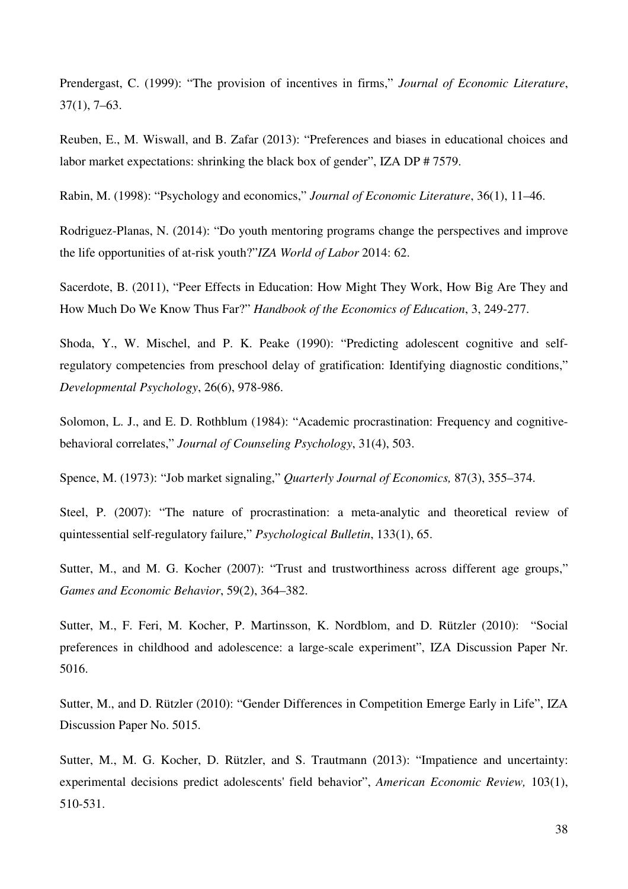Prendergast, C. (1999): "The provision of incentives in firms," *Journal of Economic Literature*, 37(1), 7–63.

Reuben, E., M. Wiswall, and B. Zafar (2013): "Preferences and biases in educational choices and labor market expectations: shrinking the black box of gender", IZA DP # 7579.

Rabin, M. (1998): "Psychology and economics," *Journal of Economic Literature*, 36(1), 11–46.

Rodriguez-Planas, N. (2014): "Do youth mentoring programs change the perspectives and improve the life opportunities of at-risk youth?"*IZA World of Labor* 2014: 62.

Sacerdote, B. (2011), "Peer Effects in Education: How Might They Work, How Big Are They and How Much Do We Know Thus Far?" *Handbook of the Economics of Education*, 3, 249-277.

Shoda, Y., W. Mischel, and P. K. Peake (1990): "Predicting adolescent cognitive and selfregulatory competencies from preschool delay of gratification: Identifying diagnostic conditions," *Developmental Psychology*, 26(6), 978-986.

Solomon, L. J., and E. D. Rothblum (1984): "Academic procrastination: Frequency and cognitivebehavioral correlates," *Journal of Counseling Psychology*, 31(4), 503.

Spence, M. (1973): "Job market signaling," *Quarterly Journal of Economics,* 87(3), 355–374.

Steel, P. (2007): "The nature of procrastination: a meta-analytic and theoretical review of quintessential self-regulatory failure," *Psychological Bulletin*, 133(1), 65.

Sutter, M., and M. G. Kocher (2007): "Trust and trustworthiness across different age groups," *Games and Economic Behavior*, 59(2), 364–382.

Sutter, M., F. Feri, M. Kocher, P. Martinsson, K. Nordblom, and D. Rützler (2010): "Social preferences in childhood and adolescence: a large-scale experiment", IZA Discussion Paper Nr. 5016.

Sutter, M., and D. Rützler (2010): "Gender Differences in Competition Emerge Early in Life", IZA Discussion Paper No. 5015.

Sutter, M., M. G. Kocher, D. Rützler, and S. Trautmann (2013): "Impatience and uncertainty: experimental decisions predict adolescents' field behavior", *American Economic Review,* 103(1), 510-531.